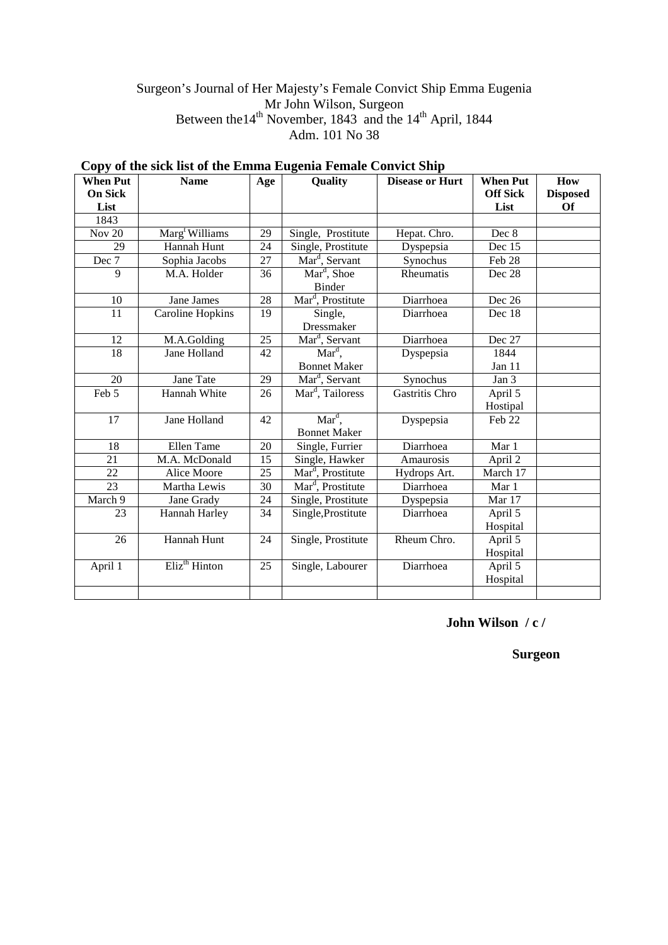# Surgeon's Journal of Her Majesty's Female Convict Ship Emma Eugenia Mr John Wilson, Surgeon Between the14<sup>th</sup> November, 1843 and the 14<sup>th</sup> April, 1844 Adm. 101 No 38

| <b>When Put</b> | <b>Name</b>                | Age | Quality                       | <b>Disease or Hurt</b> | <b>When Put</b> | How             |
|-----------------|----------------------------|-----|-------------------------------|------------------------|-----------------|-----------------|
| <b>On Sick</b>  |                            |     |                               |                        | <b>Off Sick</b> | <b>Disposed</b> |
| List            |                            |     |                               |                        | List            | <b>Of</b>       |
| 1843            |                            |     |                               |                        |                 |                 |
| <b>Nov 20</b>   | Marg <sup>t</sup> Williams | 29  | Single, Prostitute            | Hepat. Chro.           | Dec 8           |                 |
| 29              | Hannah Hunt                | 24  | Single, Prostitute            | Dyspepsia              | Dec 15          |                 |
| Dec 7           | Sophia Jacobs              | 27  | Mar <sup>d</sup> , Servant    | Synochus               | Feb 28          |                 |
| 9               | M.A. Holder                | 36  | Mar <sup>d</sup> , Shoe       | Rheumatis              | Dec 28          |                 |
|                 |                            |     | Binder                        |                        |                 |                 |
| 10              | Jane James                 | 28  | Mar <sup>d</sup> , Prostitute | Diarrhoea              | Dec 26          |                 |
| 11              | <b>Caroline Hopkins</b>    | 19  | Single,                       | Diarrhoea              | Dec 18          |                 |
|                 |                            |     | Dressmaker                    |                        |                 |                 |
| 12              | M.A.Golding                | 25  | Mar <sup>d</sup> , Servant    | Diarrhoea              | Dec 27          |                 |
| 18              | Jane Holland               | 42  | $\overline{\text{Mar}^d}$ ,   | Dyspepsia              | 1844            |                 |
|                 |                            |     | <b>Bonnet Maker</b>           |                        | Jan 11          |                 |
| 20              | Jane Tate                  | 29  | Mar <sup>d</sup> , Servant    | Synochus               | Jan 3           |                 |
| Feb 5           | Hannah White               | 26  | Mar <sup>d</sup> , Tailoress  | Gastritis Chro         | April 5         |                 |
|                 |                            |     |                               |                        | Hostipal        |                 |
| 17              | Jane Holland               | 42  | $\overline{\text{Mar}^d}$ ,   | Dyspepsia              | Feb 22          |                 |
|                 |                            |     | <b>Bonnet Maker</b>           |                        |                 |                 |
| 18              | Ellen Tame                 | 20  | Single, Furrier               | Diarrhoea              | Mar 1           |                 |
| 21              | M.A. McDonald              | 15  | Single, Hawker                | Amaurosis              | April 2         |                 |
| 22              | Alice Moore                | 25  | Mar <sup>d</sup> , Prostitute | Hydrops Art.           | March 17        |                 |
| 23              | Martha Lewis               | 30  | Mar <sup>d</sup> , Prostitute | Diarrhoea              | Mar 1           |                 |
| March 9         | Jane Grady                 | 24  | Single, Prostitute            | Dyspepsia              | Mar 17          |                 |
| 23              | Hannah Harley              | 34  | Single, Prostitute            | Diarrhoea              | April 5         |                 |
|                 |                            |     |                               |                        | Hospital        |                 |
| 26              | Hannah Hunt                | 24  | Single, Prostitute            | Rheum Chro.            | April 5         |                 |
|                 |                            |     |                               |                        | Hospital        |                 |
| April 1         | Eliz <sup>th</sup> Hinton  | 25  | Single, Labourer              | Diarrhoea              | April 5         |                 |
|                 |                            |     |                               |                        | Hospital        |                 |
|                 |                            |     |                               |                        |                 |                 |

#### **Copy of the sick list of the Emma Eugenia Female Convict Ship**

**John Wilson / c /** 

**Surgeon**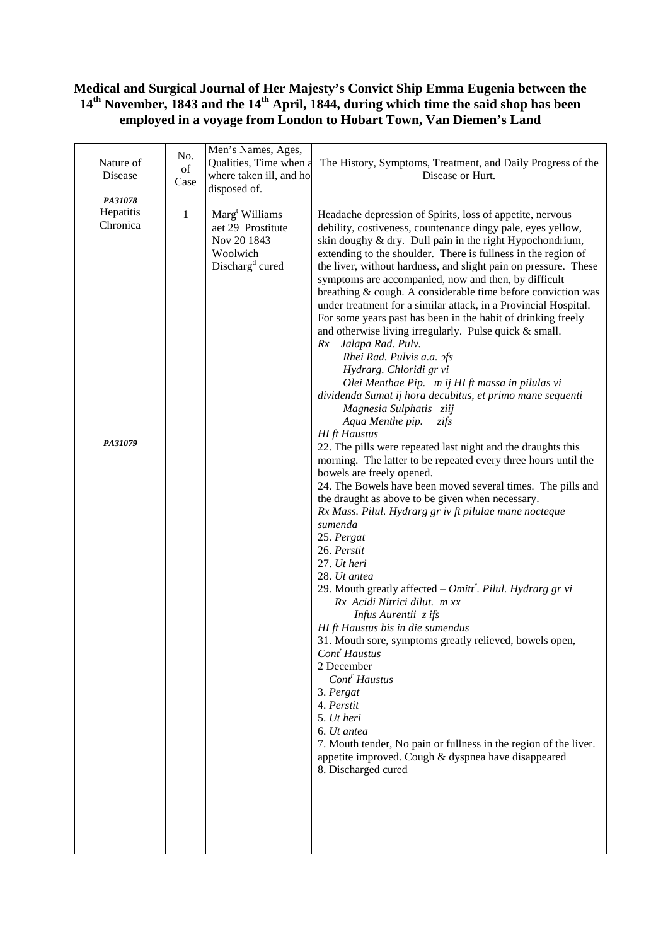## **Medical and Surgical Journal of Her Majesty's Convict Ship Emma Eugenia between the 14th November, 1843 and the 14th April, 1844, during which time the said shop has been employed in a voyage from London to Hobart Town, Van Diemen's Land**

| Nature of<br>Disease                        | No.<br>of<br>Case | Men's Names, Ages,<br>Qualities, Time when a<br>where taken ill, and ho<br>disposed of.                   | The History, Symptoms, Treatment, and Daily Progress of the<br>Disease or Hurt.                                                                                                                                                                                                                                                                                                                                                                                                                                                                                                                                                                                                                                                                                                                                                                                                                                                                                                                                                                                                                                                                                                                                                                                                                                                                                                                                                                                                                                                                                                                                                                                                                                                                                                                                                                                               |
|---------------------------------------------|-------------------|-----------------------------------------------------------------------------------------------------------|-------------------------------------------------------------------------------------------------------------------------------------------------------------------------------------------------------------------------------------------------------------------------------------------------------------------------------------------------------------------------------------------------------------------------------------------------------------------------------------------------------------------------------------------------------------------------------------------------------------------------------------------------------------------------------------------------------------------------------------------------------------------------------------------------------------------------------------------------------------------------------------------------------------------------------------------------------------------------------------------------------------------------------------------------------------------------------------------------------------------------------------------------------------------------------------------------------------------------------------------------------------------------------------------------------------------------------------------------------------------------------------------------------------------------------------------------------------------------------------------------------------------------------------------------------------------------------------------------------------------------------------------------------------------------------------------------------------------------------------------------------------------------------------------------------------------------------------------------------------------------------|
| PA31078<br>Hepatitis<br>Chronica<br>PA31079 | $\mathbf{1}$      | Marg <sup>t</sup> Williams<br>aet 29 Prostitute<br>Nov 20 1843<br>Woolwich<br>Discharg <sup>d</sup> cured | Headache depression of Spirits, loss of appetite, nervous<br>debility, costiveness, countenance dingy pale, eyes yellow,<br>skin doughy & dry. Dull pain in the right Hypochondrium,<br>extending to the shoulder. There is fullness in the region of<br>the liver, without hardness, and slight pain on pressure. These<br>symptoms are accompanied, now and then, by difficult<br>breathing & cough. A considerable time before conviction was<br>under treatment for a similar attack, in a Provincial Hospital.<br>For some years past has been in the habit of drinking freely<br>and otherwise living irregularly. Pulse quick & small.<br>Rx Jalapa Rad. Pulv.<br>Rhei Rad. Pulvis <i>a.a.</i> ofs<br>Hydrarg. Chloridi gr vi<br>Olei Menthae Pip. m ij HI ft massa in pilulas vi<br>dividenda Sumat ij hora decubitus, et primo mane sequenti<br>Magnesia Sulphatis ziij<br>Aqua Menthe pip.<br>zifs<br><b>HI</b> ft Haustus<br>22. The pills were repeated last night and the draughts this<br>morning. The latter to be repeated every three hours until the<br>bowels are freely opened.<br>24. The Bowels have been moved several times. The pills and<br>the draught as above to be given when necessary.<br>Rx Mass. Pilul. Hydrarg gr iv ft pilulae mane nocteque<br>sumenda<br>25. Pergat<br>26. Perstit<br>27. Ut heri<br>28. Ut antea<br>29. Mouth greatly affected $-$ Omitt <sup>r</sup> . Pilul. Hydrarg gr vi<br>Rx Acidi Nitrici dilut. m xx<br>Infus Aurentii z ifs<br>HI ft Haustus bis in die sumendus<br>31. Mouth sore, symptoms greatly relieved, bowels open,<br>Cont <sup>r</sup> Haustus<br>2 December<br>Cont <sup>r</sup> Haustus<br>3. Pergat<br>4. Perstit<br>5. Ut heri<br>6. Ut antea<br>7. Mouth tender, No pain or fullness in the region of the liver.<br>appetite improved. Cough & dyspnea have disappeared<br>8. Discharged cured |
|                                             |                   |                                                                                                           |                                                                                                                                                                                                                                                                                                                                                                                                                                                                                                                                                                                                                                                                                                                                                                                                                                                                                                                                                                                                                                                                                                                                                                                                                                                                                                                                                                                                                                                                                                                                                                                                                                                                                                                                                                                                                                                                               |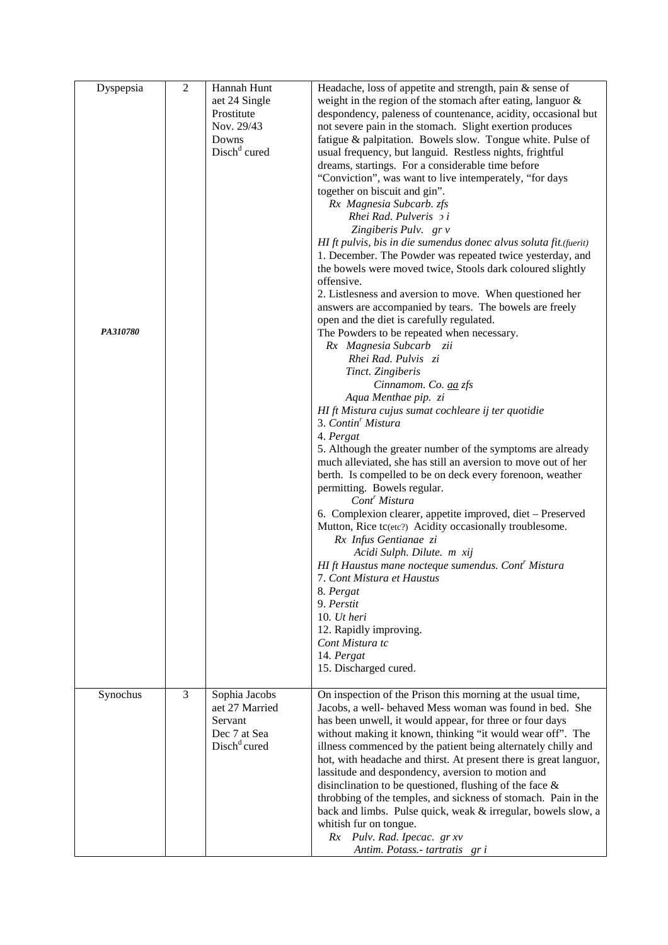| Dyspepsia<br>PA310780 | $\overline{2}$ | Hannah Hunt<br>aet 24 Single<br>Prostitute<br>Nov. 29/43<br>Downs<br>Disch <sup>d</sup> cured | Headache, loss of appetite and strength, pain & sense of<br>weight in the region of the stomach after eating, languor $\&$<br>despondency, paleness of countenance, acidity, occasional but<br>not severe pain in the stomach. Slight exertion produces<br>fatigue & palpitation. Bowels slow. Tongue white. Pulse of<br>usual frequency, but languid. Restless nights, frightful<br>dreams, startings. For a considerable time before<br>"Conviction", was want to live intemperately, "for days"<br>together on biscuit and gin".<br>Rx Magnesia Subcarb. zfs<br>Rhei Rad. Pulveris 2 i<br>Zingiberis Pulv. gr v<br>HI ft pulvis, bis in die sumendus donec alvus soluta fit.(fuerit)<br>1. December. The Powder was repeated twice yesterday, and<br>the bowels were moved twice, Stools dark coloured slightly<br>offensive.<br>2. Listlesness and aversion to move. When questioned her<br>answers are accompanied by tears. The bowels are freely<br>open and the diet is carefully regulated.<br>The Powders to be repeated when necessary.<br>Rx Magnesia Subcarb zii<br>Rhei Rad. Pulvis zi<br>Tinct. Zingiberis<br>Cinnamom. Co. aa zfs<br>Aqua Menthae pip. zi<br>HI ft Mistura cujus sumat cochleare ij ter quotidie<br>3. Contin <sup>r</sup> Mistura<br>4. Pergat<br>5. Although the greater number of the symptoms are already<br>much alleviated, she has still an aversion to move out of her<br>berth. Is compelled to be on deck every forenoon, weather<br>permitting. Bowels regular.<br>Cont <sup>r</sup> Mistura<br>6. Complexion clearer, appetite improved, diet – Preserved<br>Mutton, Rice tc(etc?) Acidity occasionally troublesome.<br>Rx Infus Gentianae zi<br>Acidi Sulph. Dilute. m xij<br>HI ft Haustus mane nocteque sumendus. Cont' Mistura<br>7. Cont Mistura et Haustus<br>8. Pergat<br>9. Perstit<br>10. $Ut$ heri<br>12. Rapidly improving.<br>Cont Mistura tc<br>14. Pergat<br>15. Discharged cured. |
|-----------------------|----------------|-----------------------------------------------------------------------------------------------|----------------------------------------------------------------------------------------------------------------------------------------------------------------------------------------------------------------------------------------------------------------------------------------------------------------------------------------------------------------------------------------------------------------------------------------------------------------------------------------------------------------------------------------------------------------------------------------------------------------------------------------------------------------------------------------------------------------------------------------------------------------------------------------------------------------------------------------------------------------------------------------------------------------------------------------------------------------------------------------------------------------------------------------------------------------------------------------------------------------------------------------------------------------------------------------------------------------------------------------------------------------------------------------------------------------------------------------------------------------------------------------------------------------------------------------------------------------------------------------------------------------------------------------------------------------------------------------------------------------------------------------------------------------------------------------------------------------------------------------------------------------------------------------------------------------------------------------------------------------------------------------------------------------------------------------------|
| Synochus              | $\overline{3}$ | Sophia Jacobs<br>aet 27 Married<br>Servant<br>Dec 7 at Sea<br>$Dischd$ cured                  | On inspection of the Prison this morning at the usual time,<br>Jacobs, a well- behaved Mess woman was found in bed. She<br>has been unwell, it would appear, for three or four days<br>without making it known, thinking "it would wear off". The<br>illness commenced by the patient being alternately chilly and<br>hot, with headache and thirst. At present there is great languor,<br>lassitude and despondency, aversion to motion and<br>disinclination to be questioned, flushing of the face $\&$<br>throbbing of the temples, and sickness of stomach. Pain in the<br>back and limbs. Pulse quick, weak & irregular, bowels slow, a<br>whitish fur on tongue.<br>Rx Pulv. Rad. Ipecac. gr xv<br>Antim. Potass.- tartratis gr i                                                                                                                                                                                                                                                                                                                                                                                                                                                                                                                                                                                                                                                                                                                                                                                                                                                                                                                                                                                                                                                                                                                                                                                                     |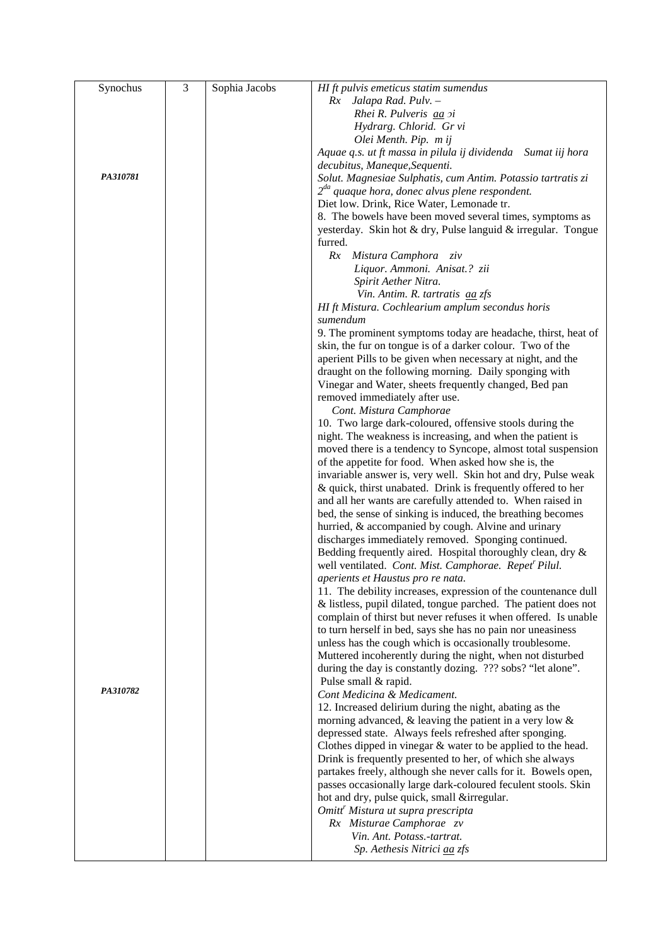| Synochus | $\overline{3}$ | Sophia Jacobs | HI ft pulvis emeticus statim sumendus                             |
|----------|----------------|---------------|-------------------------------------------------------------------|
|          |                |               | Rx Jalapa Rad. Pulv. -                                            |
|          |                |               | Rhei R. Pulveris <i>aa</i> xi                                     |
|          |                |               | Hydrarg. Chlorid. Gr vi                                           |
|          |                |               | Olei Menth. Pip. m ij                                             |
|          |                |               |                                                                   |
|          |                |               | Aquae q.s. ut ft massa in pilula ij dividenda Sumat iij hora      |
|          |                |               | decubitus, Maneque, Sequenti.                                     |
| PA310781 |                |               | Solut. Magnesiae Sulphatis, cum Antim. Potassio tartratis zi      |
|          |                |               | $2^{da}$ quaque hora, donec alvus plene respondent.               |
|          |                |               | Diet low. Drink, Rice Water, Lemonade tr.                         |
|          |                |               | 8. The bowels have been moved several times, symptoms as          |
|          |                |               | yesterday. Skin hot & dry, Pulse languid & irregular. Tongue      |
|          |                |               | furred.                                                           |
|          |                |               | Rx Mistura Camphora ziv                                           |
|          |                |               | Liquor. Ammoni. Anisat.? zii                                      |
|          |                |               | Spirit Aether Nitra.                                              |
|          |                |               | Vin. Antim. R. tartratis aa zfs                                   |
|          |                |               | HI ft Mistura. Cochlearium amplum secondus horis                  |
|          |                |               | sumendum                                                          |
|          |                |               | 9. The prominent symptoms today are headache, thirst, heat of     |
|          |                |               |                                                                   |
|          |                |               | skin, the fur on tongue is of a darker colour. Two of the         |
|          |                |               | aperient Pills to be given when necessary at night, and the       |
|          |                |               | draught on the following morning. Daily sponging with             |
|          |                |               | Vinegar and Water, sheets frequently changed, Bed pan             |
|          |                |               | removed immediately after use.                                    |
|          |                |               | Cont. Mistura Camphorae                                           |
|          |                |               | 10. Two large dark-coloured, offensive stools during the          |
|          |                |               | night. The weakness is increasing, and when the patient is        |
|          |                |               | moved there is a tendency to Syncope, almost total suspension     |
|          |                |               | of the appetite for food. When asked how she is, the              |
|          |                |               | invariable answer is, very well. Skin hot and dry, Pulse weak     |
|          |                |               | & quick, thirst unabated. Drink is frequently offered to her      |
|          |                |               | and all her wants are carefully attended to. When raised in       |
|          |                |               | bed, the sense of sinking is induced, the breathing becomes       |
|          |                |               | hurried, & accompanied by cough. Alvine and urinary               |
|          |                |               | discharges immediately removed. Sponging continued.               |
|          |                |               |                                                                   |
|          |                |               | Bedding frequently aired. Hospital thoroughly clean, dry &        |
|          |                |               | well ventilated. Cont. Mist. Camphorae. Repet <sup>r</sup> Pilul. |
|          |                |               | aperients et Haustus pro re nata.                                 |
|          |                |               | 11. The debility increases, expression of the countenance dull    |
|          |                |               | & listless, pupil dilated, tongue parched. The patient does not   |
|          |                |               | complain of thirst but never refuses it when offered. Is unable   |
|          |                |               | to turn herself in bed, says she has no pain nor uneasiness       |
|          |                |               | unless has the cough which is occasionally troublesome.           |
|          |                |               | Muttered incoherently during the night, when not disturbed        |
|          |                |               | during the day is constantly dozing. ??? sobs? "let alone".       |
|          |                |               | Pulse small & rapid.                                              |
| PA310782 |                |               | Cont Medicina & Medicament.                                       |
|          |                |               | 12. Increased delirium during the night, abating as the           |
|          |                |               | morning advanced, $\&$ leaving the patient in a very low $\&$     |
|          |                |               | depressed state. Always feels refreshed after sponging.           |
|          |                |               |                                                                   |
|          |                |               | Clothes dipped in vinegar $&$ water to be applied to the head.    |
|          |                |               | Drink is frequently presented to her, of which she always         |
|          |                |               | partakes freely, although she never calls for it. Bowels open,    |
|          |                |               | passes occasionally large dark-coloured feculent stools. Skin     |
|          |                |               | hot and dry, pulse quick, small &irregular.                       |
|          |                |               | Omitt <sup>r</sup> Mistura ut supra prescripta                    |
|          |                |               | Rx Misturae Camphorae zv                                          |
|          |                |               | Vin. Ant. Potass.-tartrat.                                        |
|          |                |               | Sp. Aethesis Nitrici aa zfs                                       |
|          |                |               |                                                                   |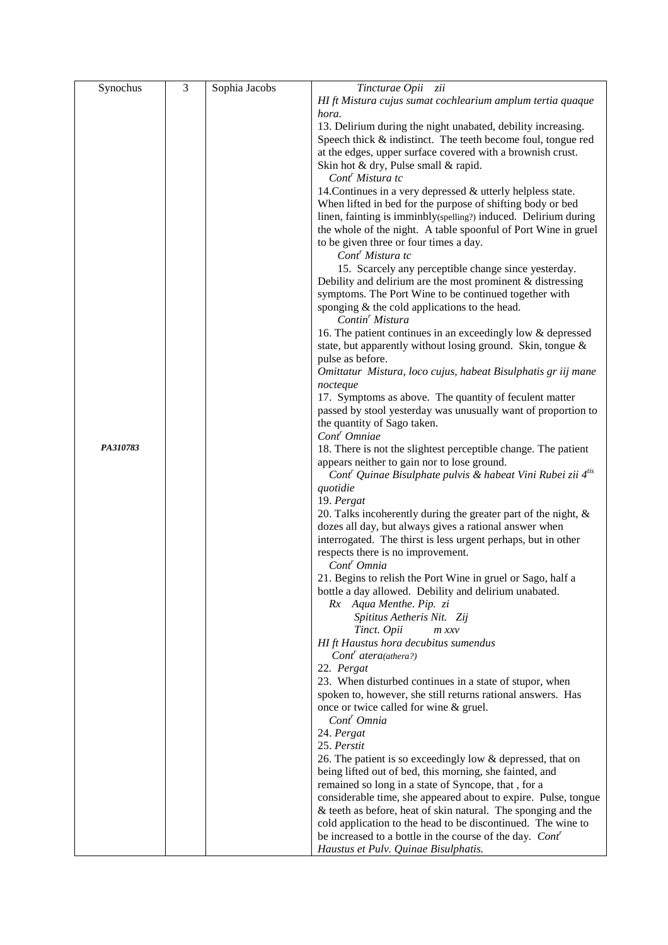| Synochus | $\overline{3}$ | Sophia Jacobs | Tincturae Opii zii                                                                  |
|----------|----------------|---------------|-------------------------------------------------------------------------------------|
|          |                |               | HI ft Mistura cujus sumat cochlearium amplum tertia quaque                          |
|          |                |               | hora.                                                                               |
|          |                |               | 13. Delirium during the night unabated, debility increasing.                        |
|          |                |               | Speech thick & indistinct. The teeth become foul, tongue red                        |
|          |                |               | at the edges, upper surface covered with a brownish crust.                          |
|          |                |               | Skin hot & dry, Pulse small & rapid.                                                |
|          |                |               | Cont <sup>r</sup> Mistura tc                                                        |
|          |                |               | 14. Continues in a very depressed & utterly helpless state.                         |
|          |                |               | When lifted in bed for the purpose of shifting body or bed                          |
|          |                |               | linen, fainting is imminbly(spelling?) induced. Delirium during                     |
|          |                |               | the whole of the night. A table spoonful of Port Wine in gruel                      |
|          |                |               | to be given three or four times a day.                                              |
|          |                |               | Cont <sup>r</sup> Mistura tc                                                        |
|          |                |               | 15. Scarcely any perceptible change since yesterday.                                |
|          |                |               | Debility and delirium are the most prominent $&$ distressing                        |
|          |                |               | symptoms. The Port Wine to be continued together with                               |
|          |                |               | sponging & the cold applications to the head.                                       |
|          |                |               | Contin <sup>'</sup> Mistura                                                         |
|          |                |               | 16. The patient continues in an exceedingly low & depressed                         |
|          |                |               | state, but apparently without losing ground. Skin, tongue &                         |
|          |                |               | pulse as before.                                                                    |
|          |                |               | Omittatur Mistura, loco cujus, habeat Bisulphatis gr iij mane                       |
|          |                |               | nocteque                                                                            |
|          |                |               | 17. Symptoms as above. The quantity of feculent matter                              |
|          |                |               | passed by stool yesterday was unusually want of proportion to                       |
|          |                |               | the quantity of Sago taken.                                                         |
|          |                |               | Cont <sup>r</sup> Omniae                                                            |
| PA310783 |                |               | 18. There is not the slightest perceptible change. The patient                      |
|          |                |               | appears neither to gain nor to lose ground.                                         |
|          |                |               | Cont <sup>r</sup> Quinae Bisulphate pulvis & habeat Vini Rubei zii 4 <sup>tis</sup> |
|          |                |               | quotidie                                                                            |
|          |                |               | 19. Pergat                                                                          |
|          |                |               | 20. Talks incoherently during the greater part of the night, &                      |
|          |                |               | dozes all day, but always gives a rational answer when                              |
|          |                |               | interrogated. The thirst is less urgent perhaps, but in other                       |
|          |                |               | respects there is no improvement.                                                   |
|          |                |               | Cont <sup>r</sup> Omnia                                                             |
|          |                |               | 21. Begins to relish the Port Wine in gruel or Sago, half a                         |
|          |                |               | bottle a day allowed. Debility and delirium unabated.                               |
|          |                |               | Rx Aqua Menthe. Pip. zi                                                             |
|          |                |               | Spititus Aetheris Nit. Zij                                                          |
|          |                |               | Tinct. Opii<br>$m$ $xxv$                                                            |
|          |                |               | HI ft Haustus hora decubitus sumendus                                               |
|          |                |               | $Contr \textit{atera}(\textit{a} \textit{thera?})$                                  |
|          |                |               | 22. Pergat                                                                          |
|          |                |               | 23. When disturbed continues in a state of stupor, when                             |
|          |                |               | spoken to, however, she still returns rational answers. Has                         |
|          |                |               | once or twice called for wine & gruel.                                              |
|          |                |               | $Cont'$ Omnia                                                                       |
|          |                |               | 24. Pergat                                                                          |
|          |                |               | 25. Perstit                                                                         |
|          |                |               | 26. The patient is so exceedingly low & depressed, that on                          |
|          |                |               | being lifted out of bed, this morning, she fainted, and                             |
|          |                |               | remained so long in a state of Syncope, that, for a                                 |
|          |                |               | considerable time, she appeared about to expire. Pulse, tongue                      |
|          |                |               | & teeth as before, heat of skin natural. The sponging and the                       |
|          |                |               | cold application to the head to be discontinued. The wine to                        |
|          |                |               | be increased to a bottle in the course of the day. Cont'                            |
|          |                |               | Haustus et Pulv. Quinae Bisulphatis.                                                |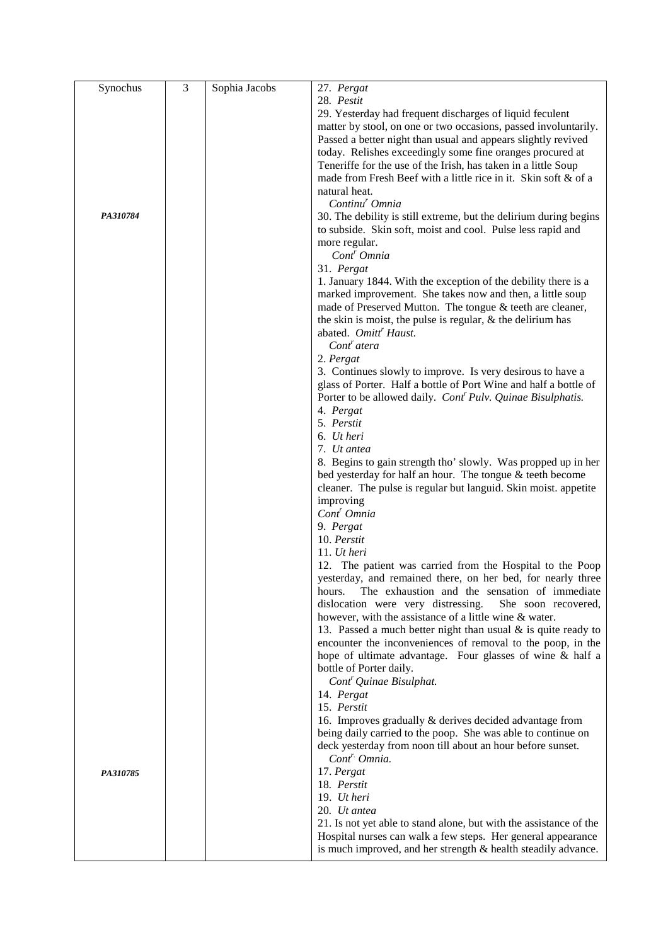| Synochus | $\overline{3}$ | Sophia Jacobs | 27. Pergat                                                              |
|----------|----------------|---------------|-------------------------------------------------------------------------|
|          |                |               | 28. Pestit                                                              |
|          |                |               | 29. Yesterday had frequent discharges of liquid feculent                |
|          |                |               | matter by stool, on one or two occasions, passed involuntarily.         |
|          |                |               | Passed a better night than usual and appears slightly revived           |
|          |                |               | today. Relishes exceedingly some fine oranges procured at               |
|          |                |               | Teneriffe for the use of the Irish, has taken in a little Soup          |
|          |                |               | made from Fresh Beef with a little rice in it. Skin soft & of a         |
|          |                |               | natural heat.                                                           |
|          |                |               | Continu <sup>r</sup> Omnia                                              |
| PA310784 |                |               | 30. The debility is still extreme, but the delirium during begins       |
|          |                |               | to subside. Skin soft, moist and cool. Pulse less rapid and             |
|          |                |               | more regular.                                                           |
|          |                |               | Cont <sup>r</sup> Omnia                                                 |
|          |                |               | 31. Pergat                                                              |
|          |                |               | 1. January 1844. With the exception of the debility there is a          |
|          |                |               | marked improvement. She takes now and then, a little soup               |
|          |                |               | made of Preserved Mutton. The tongue & teeth are cleaner,               |
|          |                |               | the skin is moist, the pulse is regular, $\&$ the delirium has          |
|          |                |               | abated. Omitt <sup>'</sup> Haust.                                       |
|          |                |               | Cont <sup>r</sup> atera                                                 |
|          |                |               | 2. Pergat                                                               |
|          |                |               | 3. Continues slowly to improve. Is very desirous to have a              |
|          |                |               | glass of Porter. Half a bottle of Port Wine and half a bottle of        |
|          |                |               | Porter to be allowed daily. Cont <sup>r</sup> Pulv. Quinae Bisulphatis. |
|          |                |               | 4. Pergat                                                               |
|          |                |               | 5. Perstit                                                              |
|          |                |               | 6. Ut heri                                                              |
|          |                |               | 7. Ut antea                                                             |
|          |                |               | 8. Begins to gain strength tho' slowly. Was propped up in her           |
|          |                |               | bed yesterday for half an hour. The tongue & teeth become               |
|          |                |               | cleaner. The pulse is regular but languid. Skin moist. appetite         |
|          |                |               | improving                                                               |
|          |                |               | Cont <sup>r</sup> Omnia                                                 |
|          |                |               | 9. Pergat                                                               |
|          |                |               | 10. Perstit                                                             |
|          |                |               | 11. $Ut$ heri                                                           |
|          |                |               | 12. The patient was carried from the Hospital to the Poop               |
|          |                |               | yesterday, and remained there, on her bed, for nearly three             |
|          |                |               | The exhaustion and the sensation of immediate<br>hours.                 |
|          |                |               | dislocation were very distressing.<br>She soon recovered,               |
|          |                |               | however, with the assistance of a little wine & water.                  |
|          |                |               | 13. Passed a much better night than usual $\&$ is quite ready to        |
|          |                |               | encounter the inconveniences of removal to the poop, in the             |
|          |                |               | hope of ultimate advantage. Four glasses of wine & half a               |
|          |                |               | bottle of Porter daily.                                                 |
|          |                |               | Cont <sup>r</sup> Quinae Bisulphat.                                     |
|          |                |               | 14. Pergat                                                              |
|          |                |               | 15. Perstit                                                             |
|          |                |               | 16. Improves gradually & derives decided advantage from                 |
|          |                |               | being daily carried to the poop. She was able to continue on            |
|          |                |               | deck yesterday from noon till about an hour before sunset.              |
|          |                |               | Cont <sup>r</sup> Omnia.                                                |
| PA310785 |                |               | 17. Pergat                                                              |
|          |                |               | 18. Perstit                                                             |
|          |                |               | 19. Ut heri                                                             |
|          |                |               | 20. Ut antea                                                            |
|          |                |               | 21. Is not yet able to stand alone, but with the assistance of the      |
|          |                |               | Hospital nurses can walk a few steps. Her general appearance            |
|          |                |               | is much improved, and her strength & health steadily advance.           |
|          |                |               |                                                                         |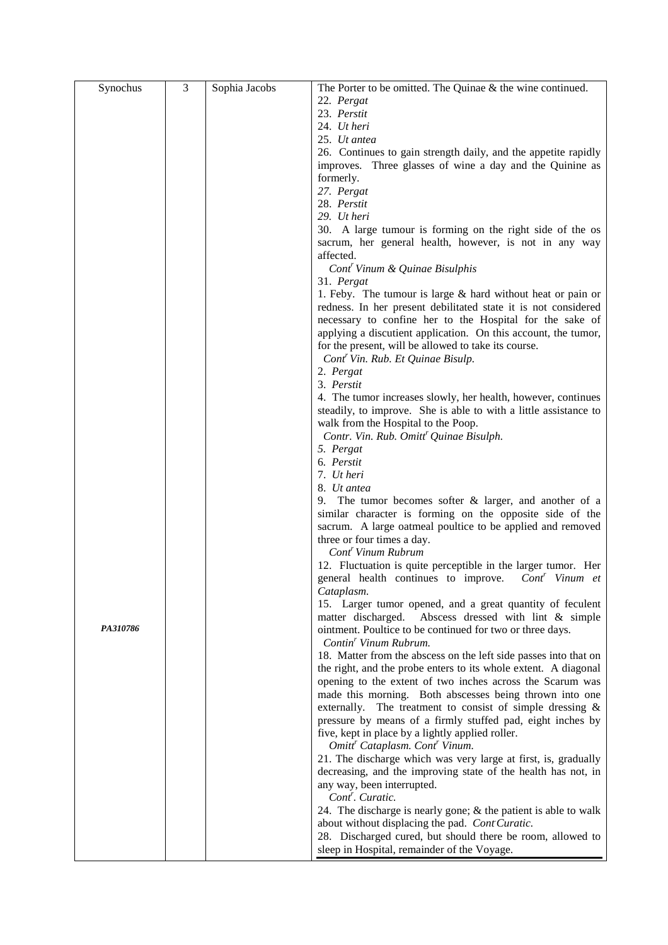| Synochus | 3 | Sophia Jacobs | The Porter to be omitted. The Quinae $\&$ the wine continued.                                                             |
|----------|---|---------------|---------------------------------------------------------------------------------------------------------------------------|
|          |   |               | 22. Pergat                                                                                                                |
|          |   |               | 23. Perstit                                                                                                               |
|          |   |               | 24. Ut heri                                                                                                               |
|          |   |               | 25. Ut antea                                                                                                              |
|          |   |               | 26. Continues to gain strength daily, and the appetite rapidly                                                            |
|          |   |               | improves. Three glasses of wine a day and the Quinine as                                                                  |
|          |   |               | formerly.                                                                                                                 |
|          |   |               | 27. Pergat                                                                                                                |
|          |   |               | 28. Perstit                                                                                                               |
|          |   |               | 29. Ut heri                                                                                                               |
|          |   |               | 30. A large tumour is forming on the right side of the os                                                                 |
|          |   |               | sacrum, her general health, however, is not in any way                                                                    |
|          |   |               | affected.                                                                                                                 |
|          |   |               | Cont <sup>r</sup> Vinum & Quinae Bisulphis                                                                                |
|          |   |               | 31. Pergat                                                                                                                |
|          |   |               | 1. Feby. The tumour is large $&$ hard without heat or pain or                                                             |
|          |   |               | redness. In her present debilitated state it is not considered                                                            |
|          |   |               | necessary to confine her to the Hospital for the sake of                                                                  |
|          |   |               | applying a discutient application. On this account, the tumor,                                                            |
|          |   |               | for the present, will be allowed to take its course.                                                                      |
|          |   |               | Cont <sup>r</sup> Vin. Rub. Et Quinae Bisulp.                                                                             |
|          |   |               | 2. Pergat                                                                                                                 |
|          |   |               | 3. Perstit                                                                                                                |
|          |   |               | 4. The tumor increases slowly, her health, however, continues                                                             |
|          |   |               | steadily, to improve. She is able to with a little assistance to                                                          |
|          |   |               | walk from the Hospital to the Poop.                                                                                       |
|          |   |               | Contr. Vin. Rub. Omitt <sup>r</sup> Quinae Bisulph.                                                                       |
|          |   |               | 5. Pergat                                                                                                                 |
|          |   |               | 6. Perstit                                                                                                                |
|          |   |               | 7. Ut heri                                                                                                                |
|          |   |               | 8. Ut antea                                                                                                               |
|          |   |               | The tumor becomes softer $\&$ larger, and another of a<br>9.                                                              |
|          |   |               | similar character is forming on the opposite side of the                                                                  |
|          |   |               | sacrum. A large oatmeal poultice to be applied and removed                                                                |
|          |   |               | three or four times a day.                                                                                                |
|          |   |               | Cont <sup>r</sup> Vinum Rubrum                                                                                            |
|          |   |               | 12. Fluctuation is quite perceptible in the larger tumor. Her<br>general health continues to improve.<br>$Contr$ Vinum et |
|          |   |               | Cataplasm.                                                                                                                |
|          |   |               | 15. Larger tumor opened, and a great quantity of feculent                                                                 |
|          |   |               | Abscess dressed with lint & simple<br>matter discharged.                                                                  |
| PA310786 |   |               | ointment. Poultice to be continued for two or three days.                                                                 |
|          |   |               | Contin <sup>r</sup> Vinum Rubrum.                                                                                         |
|          |   |               | 18. Matter from the abscess on the left side passes into that on                                                          |
|          |   |               | the right, and the probe enters to its whole extent. A diagonal                                                           |
|          |   |               | opening to the extent of two inches across the Scarum was                                                                 |
|          |   |               | made this morning. Both abscesses being thrown into one                                                                   |
|          |   |               | externally. The treatment to consist of simple dressing &                                                                 |
|          |   |               | pressure by means of a firmly stuffed pad, eight inches by                                                                |
|          |   |               | five, kept in place by a lightly applied roller.                                                                          |
|          |   |               | Omitt <sup>r</sup> Cataplasm. Cont <sup>r</sup> Vinum.                                                                    |
|          |   |               | 21. The discharge which was very large at first, is, gradually                                                            |
|          |   |               | decreasing, and the improving state of the health has not, in                                                             |
|          |   |               | any way, been interrupted.                                                                                                |
|          |   |               | Cont <sup>r</sup> . Curatic.                                                                                              |
|          |   |               | 24. The discharge is nearly gone; $&$ the patient is able to walk                                                         |
|          |   |               | about without displacing the pad. Cont Curatic.                                                                           |
|          |   |               | 28. Discharged cured, but should there be room, allowed to                                                                |
|          |   |               | sleep in Hospital, remainder of the Voyage.                                                                               |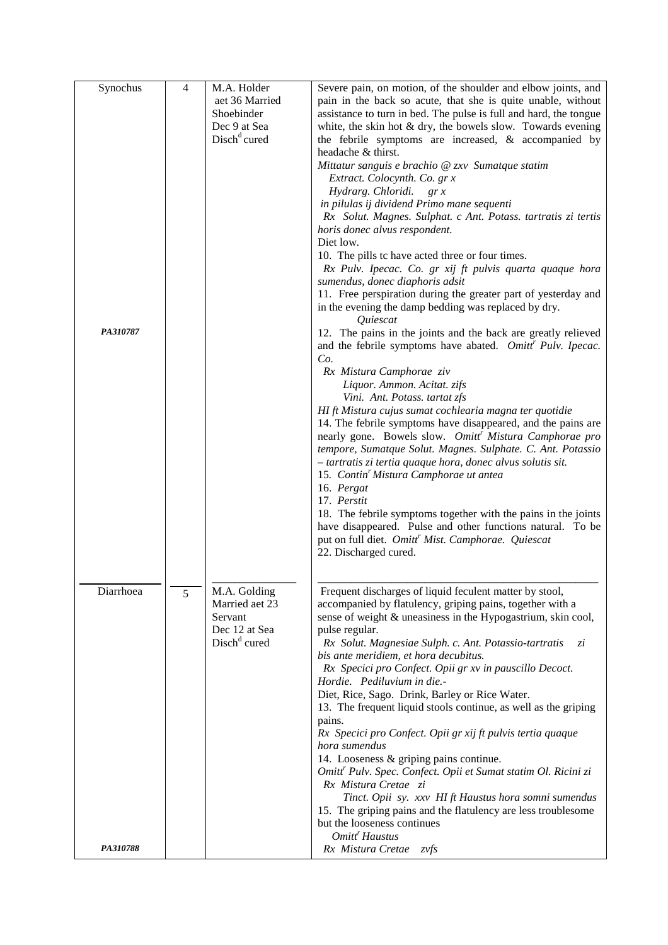| Synochus  | 4 | M.A. Holder              | Severe pain, on motion, of the shoulder and elbow joints, and              |
|-----------|---|--------------------------|----------------------------------------------------------------------------|
|           |   | aet 36 Married           | pain in the back so acute, that she is quite unable, without               |
|           |   | Shoebinder               | assistance to turn in bed. The pulse is full and hard, the tongue          |
|           |   | Dec 9 at Sea             | white, the skin hot $&$ dry, the bowels slow. Towards evening              |
|           |   | Disch <sup>d</sup> cured | the febrile symptoms are increased, $\&$ accompanied by                    |
|           |   |                          | headache & thirst.                                                         |
|           |   |                          | Mittatur sanguis e brachio @ zxv Sumatque statim                           |
|           |   |                          | Extract. Colocynth. Co. gr x                                               |
|           |   |                          | Hydrarg. Chloridi.<br>gr x                                                 |
|           |   |                          | in pilulas ij dividend Primo mane sequenti                                 |
|           |   |                          | Rx Solut. Magnes. Sulphat. c Ant. Potass. tartratis zi tertis              |
|           |   |                          | horis donec alvus respondent.                                              |
|           |   |                          | Diet low.                                                                  |
|           |   |                          | 10. The pills tc have acted three or four times.                           |
|           |   |                          | Rx Pulv. Ipecac. Co. gr xij ft pulvis quarta quaque hora                   |
|           |   |                          | sumendus, donec diaphoris adsit                                            |
|           |   |                          | 11. Free perspiration during the greater part of yesterday and             |
|           |   |                          | in the evening the damp bedding was replaced by dry.                       |
|           |   |                          | <i><u><b>Ouiescat</b></u></i>                                              |
| PA310787  |   |                          | 12. The pains in the joints and the back are greatly relieved              |
|           |   |                          | and the febrile symptoms have abated. Omitt' Pulv. Ipecac.                 |
|           |   |                          | Co.                                                                        |
|           |   |                          | Rx Mistura Camphorae ziv                                                   |
|           |   |                          | Liquor. Ammon. Acitat. zifs                                                |
|           |   |                          | Vini. Ant. Potass. tartat zfs                                              |
|           |   |                          | HI ft Mistura cujus sumat cochlearia magna ter quotidie                    |
|           |   |                          | 14. The febrile symptoms have disappeared, and the pains are               |
|           |   |                          | nearly gone. Bowels slow. Omitt <sup>'</sup> Mistura Camphorae pro         |
|           |   |                          | tempore, Sumatque Solut. Magnes. Sulphate. C. Ant. Potassio                |
|           |   |                          | - tartratis zi tertia quaque hora, donec alvus solutis sit.                |
|           |   |                          | 15. Contin' Mistura Camphorae ut antea                                     |
|           |   |                          | 16. Pergat                                                                 |
|           |   |                          | 17. Perstit                                                                |
|           |   |                          | 18. The febrile symptoms together with the pains in the joints             |
|           |   |                          | have disappeared. Pulse and other functions natural. To be                 |
|           |   |                          | put on full diet. Omitt <sup>r</sup> Mist. Camphorae. Quiescat             |
|           |   |                          | 22. Discharged cured.                                                      |
|           |   |                          |                                                                            |
| Diarrhoea | 5 | M.A. Golding             | Frequent discharges of liquid feculent matter by stool,                    |
|           |   | Married aet 23           | accompanied by flatulency, griping pains, together with a                  |
|           |   | Servant                  | sense of weight & uneasiness in the Hypogastrium, skin cool,               |
|           |   | Dec 12 at Sea            | pulse regular.                                                             |
|           |   | Disch <sup>d</sup> cured | Rx Solut. Magnesiae Sulph. c. Ant. Potassio-tartratis<br>zi                |
|           |   |                          | bis ante meridiem, et hora decubitus.                                      |
|           |   |                          | Rx Specici pro Confect. Opii gr xv in pauscillo Decoct.                    |
|           |   |                          | Hordie. Pediluvium in die.-                                                |
|           |   |                          | Diet, Rice, Sago. Drink, Barley or Rice Water.                             |
|           |   |                          | 13. The frequent liquid stools continue, as well as the griping            |
|           |   |                          | pains.                                                                     |
|           |   |                          | Rx Specici pro Confect. Opii gr xij ft pulvis tertia quaque                |
|           |   |                          | hora sumendus                                                              |
|           |   |                          | 14. Looseness & griping pains continue.                                    |
|           |   |                          | Omitt <sup>r</sup> Pulv. Spec. Confect. Opii et Sumat statim Ol. Ricini zi |
|           |   |                          | Rx Mistura Cretae zi                                                       |
|           |   |                          | Tinct. Opii sy. xxv HI ft Haustus hora somni sumendus                      |
|           |   |                          | 15. The griping pains and the flatulency are less troublesome              |
|           |   |                          | but the looseness continues                                                |
|           |   |                          | Omitt <sup>r</sup> Haustus                                                 |
| PA310788  |   |                          | Rx Mistura Cretae<br>zvfs                                                  |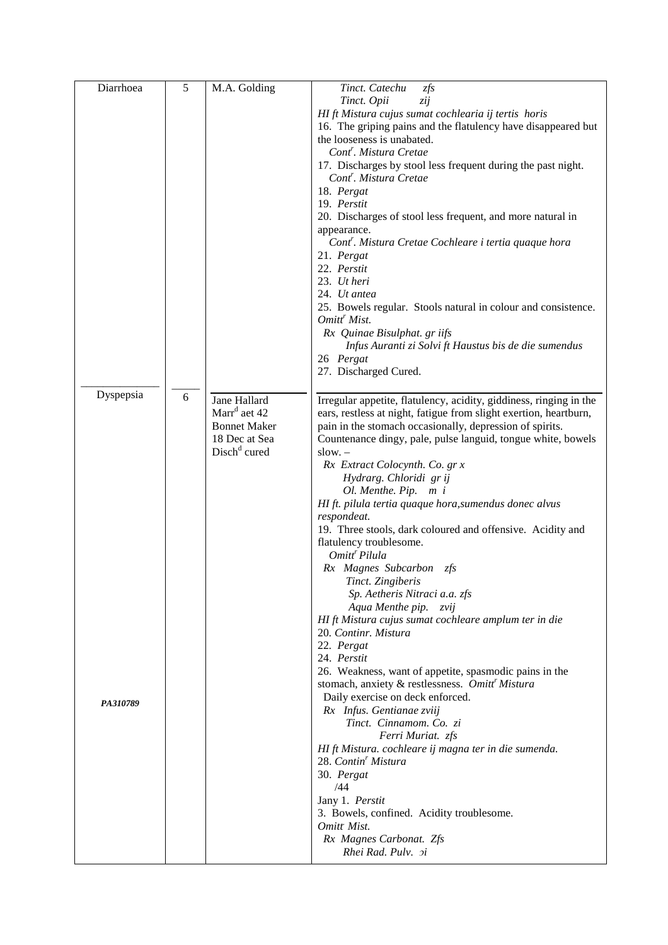| Diarrhoea | 5 | M.A. Golding             | Tinct. Catechu<br>zfs                                                 |
|-----------|---|--------------------------|-----------------------------------------------------------------------|
|           |   |                          | Tinct. Opii<br>zij                                                    |
|           |   |                          | HI ft Mistura cujus sumat cochlearia ij tertis horis                  |
|           |   |                          | 16. The griping pains and the flatulency have disappeared but         |
|           |   |                          | the looseness is unabated.                                            |
|           |   |                          | Cont <sup>r</sup> . Mistura Cretae                                    |
|           |   |                          | 17. Discharges by stool less frequent during the past night.          |
|           |   |                          | Cont <sup>r</sup> . Mistura Cretae                                    |
|           |   |                          | 18. Pergat                                                            |
|           |   |                          | 19. Perstit                                                           |
|           |   |                          | 20. Discharges of stool less frequent, and more natural in            |
|           |   |                          | appearance.                                                           |
|           |   |                          | Cont'. Mistura Cretae Cochleare i tertia quaque hora                  |
|           |   |                          | 21. Pergat<br>22. Perstit                                             |
|           |   |                          | 23. Ut heri                                                           |
|           |   |                          | 24. Ut antea                                                          |
|           |   |                          | 25. Bowels regular. Stools natural in colour and consistence.         |
|           |   |                          | Omitt <sup>'</sup> Mist.                                              |
|           |   |                          | Rx Quinae Bisulphat. gr iifs                                          |
|           |   |                          | Infus Auranti zi Solvi ft Haustus bis de die sumendus                 |
|           |   |                          | 26 Pergat                                                             |
|           |   |                          | 27. Discharged Cured.                                                 |
|           |   |                          |                                                                       |
| Dyspepsia | 6 | Jane Hallard             | Irregular appetite, flatulency, acidity, giddiness, ringing in the    |
|           |   | Marr <sup>d</sup> aet 42 | ears, restless at night, fatigue from slight exertion, heartburn,     |
|           |   | <b>Bonnet Maker</b>      | pain in the stomach occasionally, depression of spirits.              |
|           |   | 18 Dec at Sea            | Countenance dingy, pale, pulse languid, tongue white, bowels          |
|           |   | Disch <sup>d</sup> cured | slow. –                                                               |
|           |   |                          | Rx Extract Colocynth. Co. gr x                                        |
|           |   |                          | Hydrarg. Chloridi gr ij                                               |
|           |   |                          | Ol. Menthe. Pip. m i                                                  |
|           |   |                          | HI ft. pilula tertia quaque hora, sumendus donec alvus                |
|           |   |                          | respondeat.                                                           |
|           |   |                          | 19. Three stools, dark coloured and offensive. Acidity and            |
|           |   |                          | flatulency troublesome.                                               |
|           |   |                          | Omitt <sup>r</sup> Pilula                                             |
|           |   |                          | Rx Magnes Subcarbon zfs                                               |
|           |   |                          | Tinct. Zingiberis                                                     |
|           |   |                          | Sp. Aetheris Nitraci a.a. zfs                                         |
|           |   |                          | Aqua Menthe pip. zvij                                                 |
|           |   |                          | HI ft Mistura cujus sumat cochleare amplum ter in die                 |
|           |   |                          | 20. Continr. Mistura                                                  |
|           |   |                          | 22. Pergat                                                            |
|           |   |                          | 24. Perstit<br>26. Weakness, want of appetite, spasmodic pains in the |
|           |   |                          | stomach, anxiety & restlessness. Omitt <sup>r</sup> Mistura           |
|           |   |                          | Daily exercise on deck enforced.                                      |
| PA310789  |   |                          | Rx Infus. Gentianae zviij                                             |
|           |   |                          | Tinct. Cinnamom. Co. zi                                               |
|           |   |                          | Ferri Muriat. zfs                                                     |
|           |   |                          | HI ft Mistura. cochleare ij magna ter in die sumenda.                 |
|           |   |                          | 28. Contin' Mistura                                                   |
|           |   |                          | 30. Pergat                                                            |
|           |   |                          | /44                                                                   |
|           |   |                          | Jany 1. Perstit                                                       |
|           |   |                          | 3. Bowels, confined. Acidity troublesome.                             |
|           |   |                          | Omitt Mist.                                                           |
|           |   |                          | Rx Magnes Carbonat. Zfs                                               |
|           |   |                          | Rhei Rad. Pulv. <i>pi</i>                                             |
|           |   |                          |                                                                       |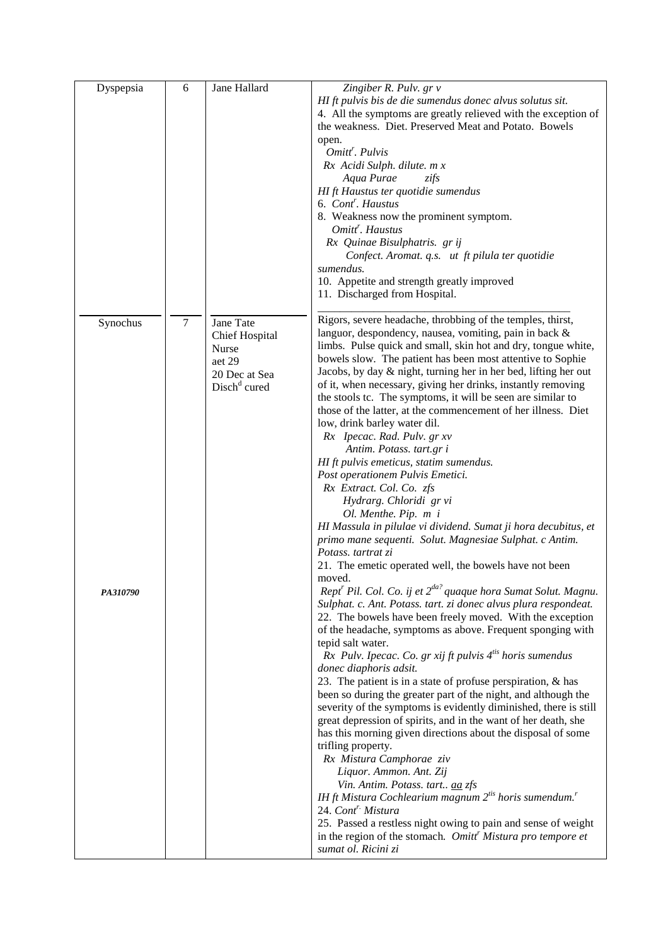| Dyspepsia | 6              | Jane Hallard             | Zingiber R. Pulv. gr v                                                                 |
|-----------|----------------|--------------------------|----------------------------------------------------------------------------------------|
|           |                |                          | HI ft pulvis bis de die sumendus donec alvus solutus sit.                              |
|           |                |                          | 4. All the symptoms are greatly relieved with the exception of                         |
|           |                |                          | the weakness. Diet. Preserved Meat and Potato. Bowels                                  |
|           |                |                          | open.                                                                                  |
|           |                |                          | Omitt <sup>'</sup> . Pulvis                                                            |
|           |                |                          | Rx Acidi Sulph. dilute. m x                                                            |
|           |                |                          | Aqua Purae<br>zifs                                                                     |
|           |                |                          | HI ft Haustus ter quotidie sumendus                                                    |
|           |                |                          | 6. Cont <sup>'</sup> . Haustus                                                         |
|           |                |                          | 8. Weakness now the prominent symptom.                                                 |
|           |                |                          | Omitt <sup>r</sup> . Haustus                                                           |
|           |                |                          |                                                                                        |
|           |                |                          | Rx Quinae Bisulphatris. gr ij                                                          |
|           |                |                          | Confect. Aromat. q.s. ut ft pilula ter quotidie                                        |
|           |                |                          | sumendus.                                                                              |
|           |                |                          | 10. Appetite and strength greatly improved                                             |
|           |                |                          | 11. Discharged from Hospital.                                                          |
|           |                |                          |                                                                                        |
| Synochus  | $\overline{7}$ | Jane Tate                | Rigors, severe headache, throbbing of the temples, thirst,                             |
|           |                | <b>Chief Hospital</b>    | languor, despondency, nausea, vomiting, pain in back &                                 |
|           |                | Nurse                    | limbs. Pulse quick and small, skin hot and dry, tongue white,                          |
|           |                | aet 29                   | bowels slow. The patient has been most attentive to Sophie                             |
|           |                | 20 Dec at Sea            | Jacobs, by day & night, turning her in her bed, lifting her out                        |
|           |                | Disch <sup>d</sup> cured | of it, when necessary, giving her drinks, instantly removing                           |
|           |                |                          | the stools tc. The symptoms, it will be seen are similar to                            |
|           |                |                          | those of the latter, at the commencement of her illness. Diet                          |
|           |                |                          | low, drink barley water dil.                                                           |
|           |                |                          | Rx Ipecac. Rad. Pulv. gr xv                                                            |
|           |                |                          | Antim. Potass. tart.gr i                                                               |
|           |                |                          | HI ft pulvis emeticus, statim sumendus.                                                |
|           |                |                          | Post operationem Pulvis Emetici.                                                       |
|           |                |                          | Rx Extract. Col. Co. zfs                                                               |
|           |                |                          | Hydrarg. Chloridi gr vi                                                                |
|           |                |                          | Ol. Menthe. Pip. m i                                                                   |
|           |                |                          | HI Massula in pilulae vi dividend. Sumat ji hora decubitus, et                         |
|           |                |                          | primo mane sequenti. Solut. Magnesiae Sulphat. c Antim.                                |
|           |                |                          | Potass. tartrat zi                                                                     |
|           |                |                          | 21. The emetic operated well, the bowels have not been                                 |
|           |                |                          | moved.                                                                                 |
| PA310790  |                |                          | Rept <sup>r</sup> Pil. Col. Co. ij et 2 <sup>da?</sup> quaque hora Sumat Solut. Magnu. |
|           |                |                          | Sulphat. c. Ant. Potass. tart. zi donec alvus plura respondeat.                        |
|           |                |                          | 22. The bowels have been freely moved. With the exception                              |
|           |                |                          | of the headache, symptoms as above. Frequent sponging with                             |
|           |                |                          | tepid salt water.                                                                      |
|           |                |                          | Rx Pulv. Ipecac. Co. gr xij ft pulvis $4^{i}$ horis sumendus                           |
|           |                |                          | donec diaphoris adsit.                                                                 |
|           |                |                          | 23. The patient is in a state of profuse perspiration, & has                           |
|           |                |                          | been so during the greater part of the night, and although the                         |
|           |                |                          | severity of the symptoms is evidently diminished, there is still                       |
|           |                |                          | great depression of spirits, and in the want of her death, she                         |
|           |                |                          | has this morning given directions about the disposal of some                           |
|           |                |                          |                                                                                        |
|           |                |                          | trifling property.                                                                     |
|           |                |                          | Rx Mistura Camphorae ziv                                                               |
|           |                |                          | Liquor. Ammon. Ant. Zij                                                                |
|           |                |                          | Vin. Antim. Potass. tart aa zfs                                                        |
|           |                |                          | IH ft Mistura Cochlearium magnum $2^{i}$ horis sumendum."                              |
|           |                |                          | 24. Cont <sup>r.</sup> Mistura                                                         |
|           |                |                          | 25. Passed a restless night owing to pain and sense of weight                          |
|           |                |                          | in the region of the stomach. Omitt <sup>r</sup> Mistura pro tempore et                |
|           |                |                          | sumat ol. Ricini zi                                                                    |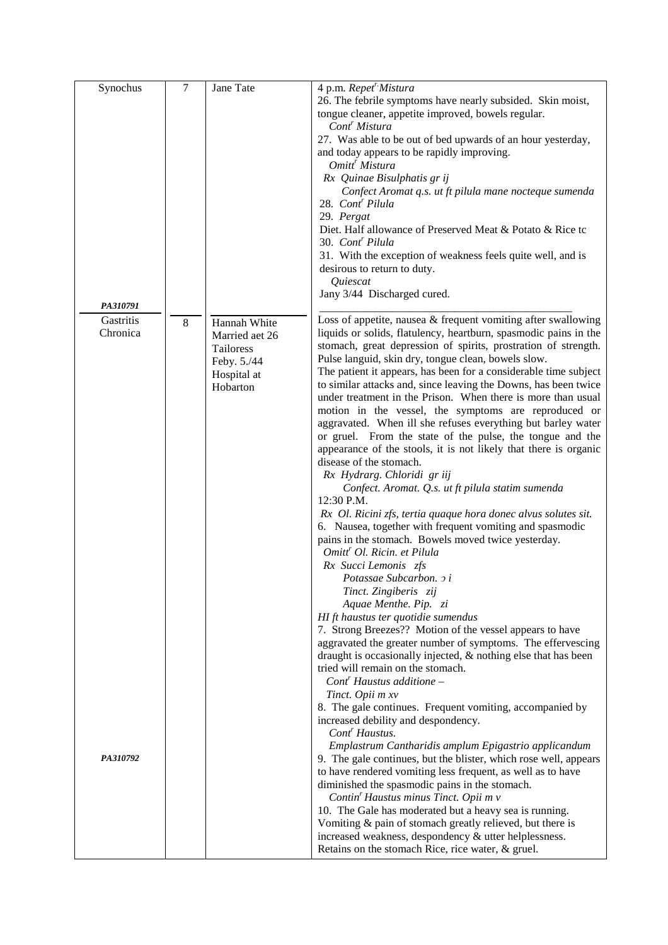| Synochus  | $\overline{7}$ | Jane Tate      | 4 p.m. Repet <sup>r</sup> Mistura                                                                                     |
|-----------|----------------|----------------|-----------------------------------------------------------------------------------------------------------------------|
|           |                |                | 26. The febrile symptoms have nearly subsided. Skin moist,                                                            |
|           |                |                | tongue cleaner, appetite improved, bowels regular.                                                                    |
|           |                |                | Cont <sup>'</sup> Mistura                                                                                             |
|           |                |                | 27. Was able to be out of bed upwards of an hour yesterday,                                                           |
|           |                |                | and today appears to be rapidly improving.                                                                            |
|           |                |                | Omitt <sup>r</sup> Mistura                                                                                            |
|           |                |                | Rx Quinae Bisulphatis gr ij                                                                                           |
|           |                |                | Confect Aromat q.s. ut ft pilula mane nocteque sumenda                                                                |
|           |                |                | 28. Cont <sup>r</sup> Pilula                                                                                          |
|           |                |                | 29. Pergat                                                                                                            |
|           |                |                | Diet. Half allowance of Preserved Meat & Potato & Rice to                                                             |
|           |                |                | 30. Cont <sup>r</sup> Pilula                                                                                          |
|           |                |                | 31. With the exception of weakness feels quite well, and is                                                           |
|           |                |                | desirous to return to duty.                                                                                           |
|           |                |                | Quiescat                                                                                                              |
|           |                |                |                                                                                                                       |
| PA310791  |                |                | Jany 3/44 Discharged cured.                                                                                           |
| Gastritis |                |                |                                                                                                                       |
|           | 8              | Hannah White   | Loss of appetite, nausea & frequent vomiting after swallowing                                                         |
| Chronica  |                | Married aet 26 | liquids or solids, flatulency, heartburn, spasmodic pains in the                                                      |
|           |                | Tailoress      | stomach, great depression of spirits, prostration of strength.<br>Pulse languid, skin dry, tongue clean, bowels slow. |
|           |                | Feby. 5./44    |                                                                                                                       |
|           |                | Hospital at    | The patient it appears, has been for a considerable time subject                                                      |
|           |                | Hobarton       | to similar attacks and, since leaving the Downs, has been twice                                                       |
|           |                |                | under treatment in the Prison. When there is more than usual                                                          |
|           |                |                | motion in the vessel, the symptoms are reproduced or                                                                  |
|           |                |                | aggravated. When ill she refuses everything but barley water                                                          |
|           |                |                | or gruel. From the state of the pulse, the tongue and the                                                             |
|           |                |                | appearance of the stools, it is not likely that there is organic                                                      |
|           |                |                | disease of the stomach.                                                                                               |
|           |                |                | Rx Hydrarg. Chloridi gr iij                                                                                           |
|           |                |                | Confect. Aromat. Q.s. ut ft pilula statim sumenda                                                                     |
|           |                |                | 12:30 P.M.                                                                                                            |
|           |                |                | Rx Ol. Ricini zfs, tertia quaque hora donec alvus solutes sit.                                                        |
|           |                |                | 6. Nausea, together with frequent vomiting and spasmodic                                                              |
|           |                |                | pains in the stomach. Bowels moved twice yesterday.                                                                   |
|           |                |                | Omitt <sup>r</sup> Ol. Ricin. et Pilula                                                                               |
|           |                |                | Rx Succi Lemonis zfs                                                                                                  |
|           |                |                | Potassae Subcarbon. 2 i                                                                                               |
|           |                |                | Tinct. Zingiberis zij                                                                                                 |
|           |                |                | Aquae Menthe. Pip. zi                                                                                                 |
|           |                |                | HI ft haustus ter quotidie sumendus                                                                                   |
|           |                |                | 7. Strong Breezes?? Motion of the vessel appears to have                                                              |
|           |                |                | aggravated the greater number of symptoms. The effervescing                                                           |
|           |                |                | draught is occasionally injected, & nothing else that has been                                                        |
|           |                |                | tried will remain on the stomach.                                                                                     |
|           |                |                | $Contr$ Haustus additione –                                                                                           |
|           |                |                | Tinct. Opii m xv                                                                                                      |
|           |                |                | 8. The gale continues. Frequent vomiting, accompanied by                                                              |
|           |                |                | increased debility and despondency.                                                                                   |
|           |                |                | Cont <sup>r</sup> Haustus.                                                                                            |
|           |                |                | Emplastrum Cantharidis amplum Epigastrio applicandum                                                                  |
| PA310792  |                |                | 9. The gale continues, but the blister, which rose well, appears                                                      |
|           |                |                | to have rendered vomiting less frequent, as well as to have                                                           |
|           |                |                | diminished the spasmodic pains in the stomach.                                                                        |
|           |                |                | Contin' Haustus minus Tinct. Opii m v                                                                                 |
|           |                |                | 10. The Gale has moderated but a heavy sea is running.                                                                |
|           |                |                | Vomiting & pain of stomach greatly relieved, but there is                                                             |
|           |                |                | increased weakness, despondency & utter helplessness.                                                                 |
|           |                |                | Retains on the stomach Rice, rice water, & gruel.                                                                     |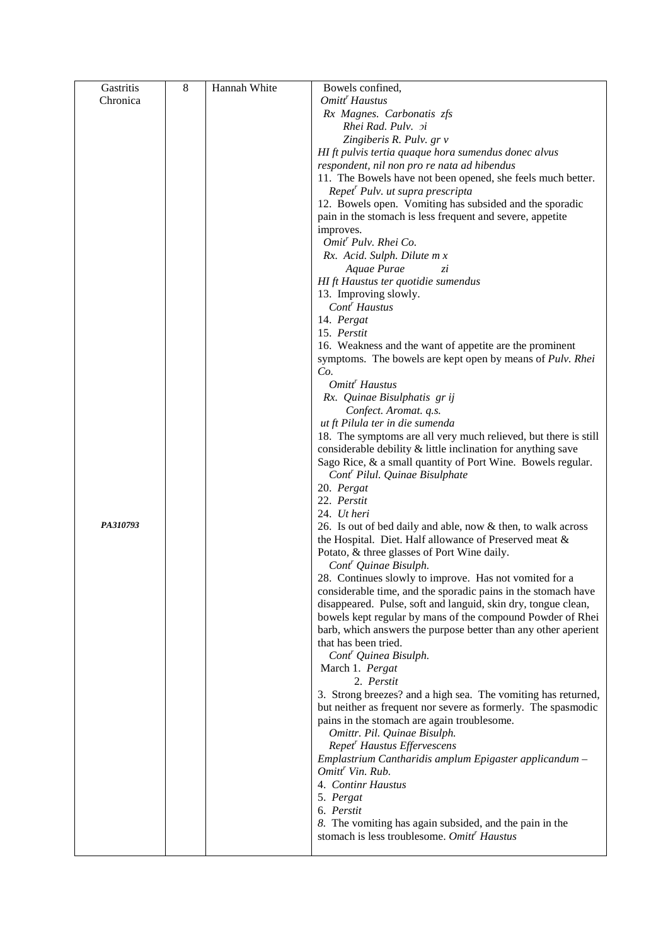| Gastritis | 8 | Hannah White | Bowels confined,                                                |
|-----------|---|--------------|-----------------------------------------------------------------|
| Chronica  |   |              | Omitt <sup>r</sup> Haustus                                      |
|           |   |              | Rx Magnes. Carbonatis zfs                                       |
|           |   |              | Rhei Rad. Pulv. xi                                              |
|           |   |              | Zingiberis R. Pulv. gr v                                        |
|           |   |              | HI ft pulvis tertia quaque hora sumendus donec alvus            |
|           |   |              | respondent, nil non pro re nata ad hibendus                     |
|           |   |              | 11. The Bowels have not been opened, she feels much better.     |
|           |   |              | Repet <sup>r</sup> Pulv. ut supra prescripta                    |
|           |   |              | 12. Bowels open. Vomiting has subsided and the sporadic         |
|           |   |              |                                                                 |
|           |   |              | pain in the stomach is less frequent and severe, appetite       |
|           |   |              | improves.<br>Omit <sup>r</sup> Pulv. Rhei Co.                   |
|           |   |              |                                                                 |
|           |   |              | Rx. Acid. Sulph. Dilute m x                                     |
|           |   |              | Aquae Purae<br>zί                                               |
|           |   |              | HI ft Haustus ter quotidie sumendus                             |
|           |   |              | 13. Improving slowly.                                           |
|           |   |              | Cont <sup>r</sup> Haustus                                       |
|           |   |              | 14. Pergat                                                      |
|           |   |              | 15. Perstit                                                     |
|           |   |              | 16. Weakness and the want of appetite are the prominent         |
|           |   |              | symptoms. The bowels are kept open by means of Pulv. Rhei       |
|           |   |              | Co.                                                             |
|           |   |              | Omitt <sup>r</sup> Haustus                                      |
|           |   |              | Rx. Quinae Bisulphatis gr ij                                    |
|           |   |              | Confect. Aromat. q.s.                                           |
|           |   |              | ut ft Pilula ter in die sumenda                                 |
|           |   |              | 18. The symptoms are all very much relieved, but there is still |
|           |   |              | considerable debility & little inclination for anything save    |
|           |   |              | Sago Rice, & a small quantity of Port Wine. Bowels regular.     |
|           |   |              | Cont <sup>r</sup> Pilul. Quinae Bisulphate                      |
|           |   |              | 20. Pergat                                                      |
|           |   |              | 22. Perstit                                                     |
|           |   |              | 24. Ut heri                                                     |
| PA310793  |   |              | 26. Is out of bed daily and able, now & then, to walk across    |
|           |   |              | the Hospital. Diet. Half allowance of Preserved meat &          |
|           |   |              | Potato, & three glasses of Port Wine daily.                     |
|           |   |              | Cont <sup>r</sup> Quinae Bisulph.                               |
|           |   |              | 28. Continues slowly to improve. Has not vomited for a          |
|           |   |              | considerable time, and the sporadic pains in the stomach have   |
|           |   |              | disappeared. Pulse, soft and languid, skin dry, tongue clean,   |
|           |   |              | bowels kept regular by mans of the compound Powder of Rhei      |
|           |   |              | barb, which answers the purpose better than any other aperient  |
|           |   |              | that has been tried.                                            |
|           |   |              | Cont <sup>r</sup> Quinea Bisulph.                               |
|           |   |              | March 1. Pergat                                                 |
|           |   |              | 2. Perstit                                                      |
|           |   |              | 3. Strong breezes? and a high sea. The vomiting has returned,   |
|           |   |              | but neither as frequent nor severe as formerly. The spasmodic   |
|           |   |              | pains in the stomach are again troublesome.                     |
|           |   |              | Omittr. Pil. Quinae Bisulph.                                    |
|           |   |              | Repet <sup>r</sup> Haustus Effervescens                         |
|           |   |              | Emplastrium Cantharidis amplum Epigaster applicandum -          |
|           |   |              | Omitt <sup>r</sup> Vin. Rub.                                    |
|           |   |              | 4. Continr Haustus                                              |
|           |   |              |                                                                 |
|           |   |              | 5. Pergat<br>6. Perstit                                         |
|           |   |              |                                                                 |
|           |   |              | 8. The vomiting has again subsided, and the pain in the         |
|           |   |              | stomach is less troublesome. Omitt <sup>r</sup> Haustus         |
|           |   |              |                                                                 |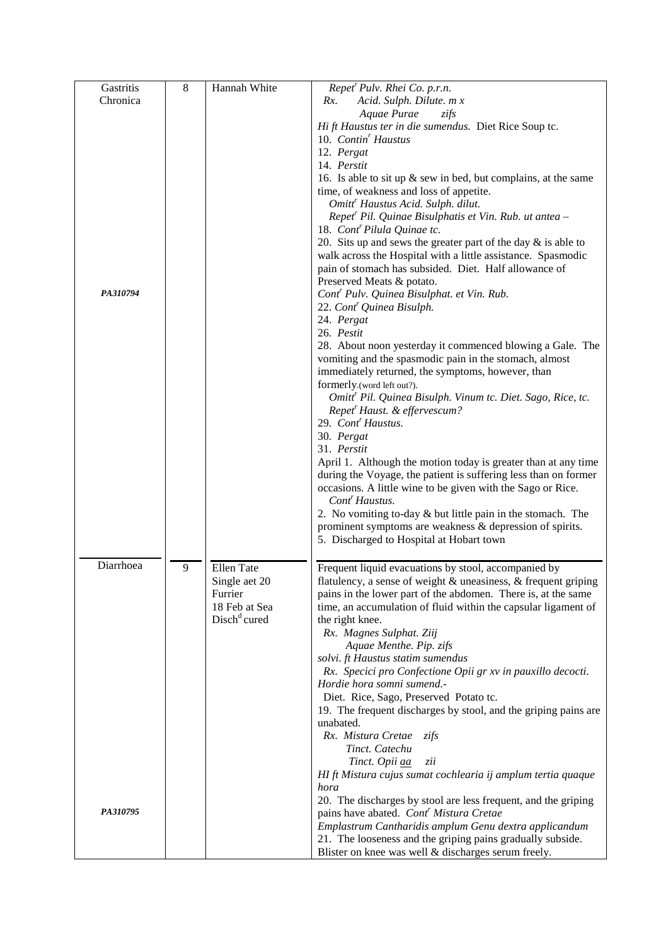| Gastritis | $\overline{8}$ | Hannah White                    | Repet <sup>r</sup> Pulv. Rhei Co. p.r.n.                                |  |  |  |  |  |  |
|-----------|----------------|---------------------------------|-------------------------------------------------------------------------|--|--|--|--|--|--|
| Chronica  |                |                                 | Acid. Sulph. Dilute. m x<br>Rx.                                         |  |  |  |  |  |  |
|           |                |                                 | Aquae Purae<br>zifs                                                     |  |  |  |  |  |  |
|           |                |                                 | Hi ft Haustus ter in die sumendus. Diet Rice Soup tc.                   |  |  |  |  |  |  |
|           |                |                                 | 10. Contin <sup>'</sup> Haustus                                         |  |  |  |  |  |  |
|           |                |                                 | 12. Pergat                                                              |  |  |  |  |  |  |
|           |                |                                 | 14. Perstit                                                             |  |  |  |  |  |  |
|           |                |                                 |                                                                         |  |  |  |  |  |  |
|           |                |                                 | 16. Is able to sit up $\&$ sew in bed, but complains, at the same       |  |  |  |  |  |  |
|           |                |                                 | time, of weakness and loss of appetite.                                 |  |  |  |  |  |  |
|           |                |                                 | Omitt <sup>r</sup> Haustus Acid. Sulph. dilut.                          |  |  |  |  |  |  |
|           |                |                                 | Repet <sup>r</sup> Pil. Quinae Bisulphatis et Vin. Rub. ut antea -      |  |  |  |  |  |  |
|           |                |                                 | 18. Cont <sup>r</sup> Pilula Quinae tc.                                 |  |  |  |  |  |  |
|           |                |                                 | 20. Sits up and sews the greater part of the day $\&$ is able to        |  |  |  |  |  |  |
|           |                |                                 | walk across the Hospital with a little assistance. Spasmodic            |  |  |  |  |  |  |
|           |                |                                 | pain of stomach has subsided. Diet. Half allowance of                   |  |  |  |  |  |  |
|           |                |                                 | Preserved Meats & potato.                                               |  |  |  |  |  |  |
| PA310794  |                |                                 | Cont <sup>r</sup> Pulv. Quinea Bisulphat. et Vin. Rub.                  |  |  |  |  |  |  |
|           |                |                                 | 22. Cont <sup>r</sup> Quinea Bisulph.                                   |  |  |  |  |  |  |
|           |                |                                 | 24. Pergat                                                              |  |  |  |  |  |  |
|           |                |                                 | 26. Pestit                                                              |  |  |  |  |  |  |
|           |                |                                 | 28. About noon yesterday it commenced blowing a Gale. The               |  |  |  |  |  |  |
|           |                |                                 | vomiting and the spasmodic pain in the stomach, almost                  |  |  |  |  |  |  |
|           |                |                                 |                                                                         |  |  |  |  |  |  |
|           |                |                                 | immediately returned, the symptoms, however, than                       |  |  |  |  |  |  |
|           |                |                                 | formerly.(word left out?).                                              |  |  |  |  |  |  |
|           |                |                                 | Omitt <sup>r</sup> Pil. Quinea Bisulph. Vinum tc. Diet. Sago, Rice, tc. |  |  |  |  |  |  |
|           |                |                                 | Repet <sup>r</sup> Haust. & effervescum?                                |  |  |  |  |  |  |
|           |                |                                 | 29. Cont <sup>r</sup> Haustus.                                          |  |  |  |  |  |  |
|           |                |                                 | 30. Pergat                                                              |  |  |  |  |  |  |
|           |                |                                 | 31. Perstit                                                             |  |  |  |  |  |  |
|           |                |                                 | April 1. Although the motion today is greater than at any time          |  |  |  |  |  |  |
|           |                |                                 | during the Voyage, the patient is suffering less than on former         |  |  |  |  |  |  |
|           |                |                                 | occasions. A little wine to be given with the Sago or Rice.             |  |  |  |  |  |  |
|           |                |                                 | Cont <sup>r</sup> Haustus.                                              |  |  |  |  |  |  |
|           |                |                                 | 2. No vomiting to-day $&$ but little pain in the stomach. The           |  |  |  |  |  |  |
|           |                |                                 | prominent symptoms are weakness & depression of spirits.                |  |  |  |  |  |  |
|           |                |                                 | 5. Discharged to Hospital at Hobart town                                |  |  |  |  |  |  |
|           |                |                                 |                                                                         |  |  |  |  |  |  |
| Diarrhoea |                |                                 |                                                                         |  |  |  |  |  |  |
|           | 9              | Ellen Tate                      | Frequent liquid evacuations by stool, accompanied by                    |  |  |  |  |  |  |
|           |                | Single aet 20                   | flatulency, a sense of weight & uneasiness, & frequent griping          |  |  |  |  |  |  |
|           |                | Furrier                         | pains in the lower part of the abdomen. There is, at the same           |  |  |  |  |  |  |
|           |                | 18 Feb at Sea                   | time, an accumulation of fluid within the capsular ligament of          |  |  |  |  |  |  |
|           |                | Disch <sup>d</sup> <sup>d</sup> | the right knee.                                                         |  |  |  |  |  |  |
|           |                |                                 | Rx. Magnes Sulphat. Ziij                                                |  |  |  |  |  |  |
|           |                |                                 | Aquae Menthe. Pip. zifs                                                 |  |  |  |  |  |  |
|           |                |                                 | solvi. ft Haustus statim sumendus                                       |  |  |  |  |  |  |
|           |                |                                 | Rx. Specici pro Confectione Opii gr xv in pauxillo decocti.             |  |  |  |  |  |  |
|           |                |                                 | Hordie hora somni sumend.-                                              |  |  |  |  |  |  |
|           |                |                                 | Diet. Rice, Sago, Preserved Potato tc.                                  |  |  |  |  |  |  |
|           |                |                                 | 19. The frequent discharges by stool, and the griping pains are         |  |  |  |  |  |  |
|           |                |                                 | unabated.                                                               |  |  |  |  |  |  |
|           |                |                                 | Rx. Mistura Cretae<br>zifs                                              |  |  |  |  |  |  |
|           |                |                                 | Tinct. Catechu                                                          |  |  |  |  |  |  |
|           |                |                                 | zii                                                                     |  |  |  |  |  |  |
|           |                |                                 | Tinct. Opii aa                                                          |  |  |  |  |  |  |
|           |                |                                 | HI ft Mistura cujus sumat cochlearia ij amplum tertia quaque            |  |  |  |  |  |  |
|           |                |                                 | hora                                                                    |  |  |  |  |  |  |
|           |                |                                 | 20. The discharges by stool are less frequent, and the griping          |  |  |  |  |  |  |
| PA310795  |                |                                 | pains have abated. Cont <sup>r</sup> Mistura Cretae                     |  |  |  |  |  |  |
|           |                |                                 | Emplastrum Cantharidis amplum Genu dextra applicandum                   |  |  |  |  |  |  |
|           |                |                                 | 21. The looseness and the griping pains gradually subside.              |  |  |  |  |  |  |
|           |                |                                 | Blister on knee was well & discharges serum freely.                     |  |  |  |  |  |  |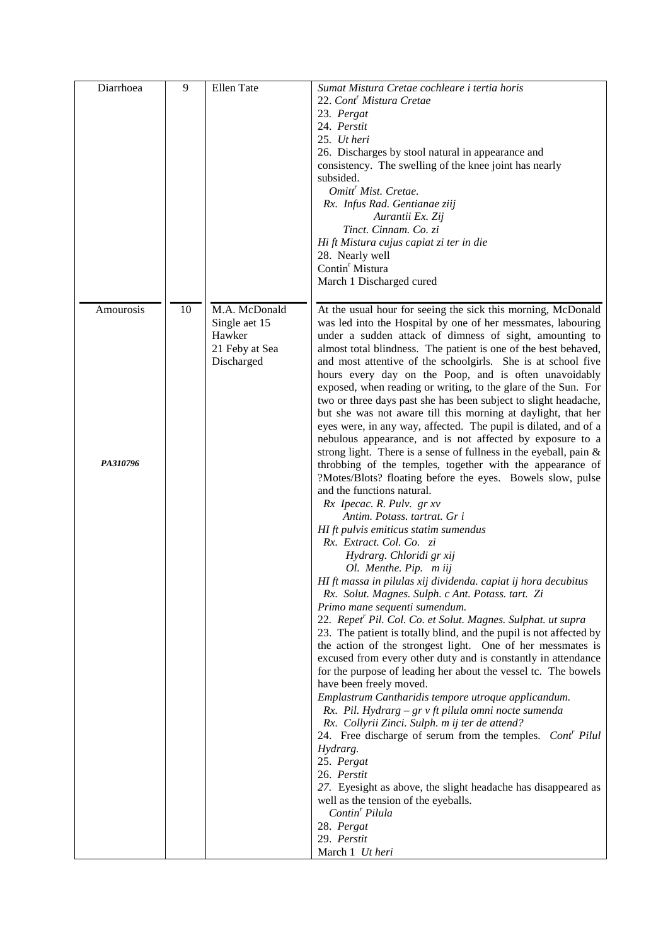| Diarrhoea | 9  | Ellen Tate     | Sumat Mistura Cretae cochleare i tertia horis                                                                                    |
|-----------|----|----------------|----------------------------------------------------------------------------------------------------------------------------------|
|           |    |                | 22. Cont <sup>r</sup> Mistura Cretae                                                                                             |
|           |    |                | 23. Pergat                                                                                                                       |
|           |    |                | 24. Perstit                                                                                                                      |
|           |    |                | 25. Ut heri                                                                                                                      |
|           |    |                | 26. Discharges by stool natural in appearance and                                                                                |
|           |    |                | consistency. The swelling of the knee joint has nearly                                                                           |
|           |    |                | subsided.                                                                                                                        |
|           |    |                | Omitt <sup>r</sup> Mist. Cretae.                                                                                                 |
|           |    |                | Rx. Infus Rad. Gentianae ziij                                                                                                    |
|           |    |                | Aurantii Ex. Zij                                                                                                                 |
|           |    |                | Tinct. Cinnam. Co. zi                                                                                                            |
|           |    |                | Hi ft Mistura cujus capiat zi ter in die                                                                                         |
|           |    |                | 28. Nearly well                                                                                                                  |
|           |    |                | Contin <sup>r</sup> Mistura                                                                                                      |
|           |    |                | March 1 Discharged cured                                                                                                         |
|           |    |                |                                                                                                                                  |
| Amourosis | 10 | M.A. McDonald  | At the usual hour for seeing the sick this morning, McDonald                                                                     |
|           |    | Single aet 15  | was led into the Hospital by one of her messmates, labouring                                                                     |
|           |    | Hawker         | under a sudden attack of dimness of sight, amounting to                                                                          |
|           |    | 21 Feby at Sea | almost total blindness. The patient is one of the best behaved,                                                                  |
|           |    | Discharged     | and most attentive of the schoolgirls. She is at school five                                                                     |
|           |    |                | hours every day on the Poop, and is often unavoidably                                                                            |
|           |    |                | exposed, when reading or writing, to the glare of the Sun. For                                                                   |
|           |    |                | two or three days past she has been subject to slight headache,                                                                  |
|           |    |                | but she was not aware till this morning at daylight, that her<br>eyes were, in any way, affected. The pupil is dilated, and of a |
|           |    |                | nebulous appearance, and is not affected by exposure to a                                                                        |
|           |    |                | strong light. There is a sense of fullness in the eyeball, pain $\&$                                                             |
| PA310796  |    |                | throbbing of the temples, together with the appearance of                                                                        |
|           |    |                | ?Motes/Blots? floating before the eyes. Bowels slow, pulse                                                                       |
|           |    |                | and the functions natural.                                                                                                       |
|           |    |                | Rx Ipecac. R. Pulv. gr xv                                                                                                        |
|           |    |                | Antim. Potass. tartrat. Gr i                                                                                                     |
|           |    |                | HI ft pulvis emiticus statim sumendus                                                                                            |
|           |    |                | Rx. Extract. Col. Co. zi                                                                                                         |
|           |    |                | Hydrarg. Chloridi gr xij                                                                                                         |
|           |    |                | Ol. Menthe. Pip. m iij                                                                                                           |
|           |    |                | HI ft massa in pilulas xij dividenda. capiat ij hora decubitus                                                                   |
|           |    |                | Rx. Solut. Magnes. Sulph. c Ant. Potass. tart. Zi                                                                                |
|           |    |                | Primo mane sequenti sumendum.                                                                                                    |
|           |    |                | 22. Repet <sup>r</sup> Pil. Col. Co. et Solut. Magnes. Sulphat. ut supra                                                         |
|           |    |                | 23. The patient is totally blind, and the pupil is not affected by                                                               |
|           |    |                | the action of the strongest light. One of her messmates is                                                                       |
|           |    |                | excused from every other duty and is constantly in attendance                                                                    |
|           |    |                | for the purpose of leading her about the vessel tc. The bowels                                                                   |
|           |    |                | have been freely moved.                                                                                                          |
|           |    |                | Emplastrum Cantharidis tempore utroque applicandum.                                                                              |
|           |    |                | Rx. Pil. Hydrarg – gr v ft pilula omni nocte sumenda                                                                             |
|           |    |                | Rx. Collyrii Zinci. Sulph. m ij ter de attend?                                                                                   |
|           |    |                | 24. Free discharge of serum from the temples. Cont <sup>r</sup> Pilul                                                            |
|           |    |                | Hydrarg.                                                                                                                         |
|           |    |                | 25. Pergat                                                                                                                       |
|           |    |                | 26. Perstit                                                                                                                      |
|           |    |                | 27. Eyesight as above, the slight headache has disappeared as                                                                    |
|           |    |                | well as the tension of the eyeballs.<br>Contin <sup>'</sup> Pilula                                                               |
|           |    |                | 28. Pergat                                                                                                                       |
|           |    |                | 29. Perstit                                                                                                                      |
|           |    |                | March 1 Ut heri                                                                                                                  |
|           |    |                |                                                                                                                                  |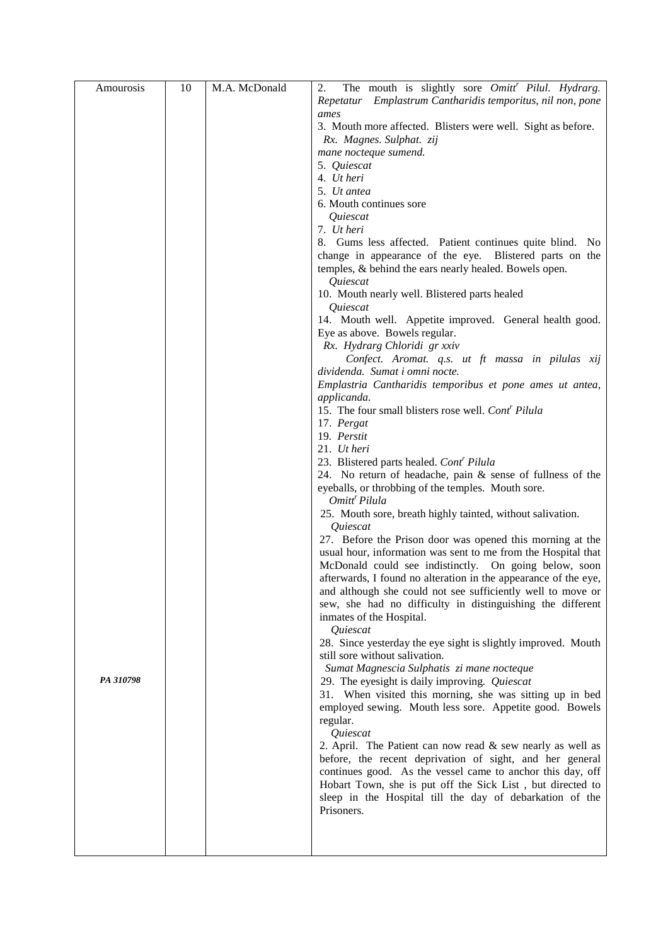| Amourosis | 10 | M.A. McDonald | The mouth is slightly sore Omitt <sup>r</sup> Pilul. Hydrarg.<br>2.                             |
|-----------|----|---------------|-------------------------------------------------------------------------------------------------|
|           |    |               | Repetatur Emplastrum Cantharidis temporitus, nil non, pone                                      |
|           |    |               | ames                                                                                            |
|           |    |               | 3. Mouth more affected. Blisters were well. Sight as before.                                    |
|           |    |               | Rx. Magnes. Sulphat. zij                                                                        |
|           |    |               | mane nocteque sumend.                                                                           |
|           |    |               | 5. Quiescat                                                                                     |
|           |    |               | 4. Ut heri<br>5. Ut antea                                                                       |
|           |    |               | 6. Mouth continues sore                                                                         |
|           |    |               | Quiescat                                                                                        |
|           |    |               | 7. Ut heri                                                                                      |
|           |    |               | 8. Gums less affected. Patient continues quite blind. No                                        |
|           |    |               | change in appearance of the eye. Blistered parts on the                                         |
|           |    |               | temples, & behind the ears nearly healed. Bowels open.                                          |
|           |    |               | Quiescat                                                                                        |
|           |    |               | 10. Mouth nearly well. Blistered parts healed                                                   |
|           |    |               | Quiescat                                                                                        |
|           |    |               | 14. Mouth well. Appetite improved. General health good.                                         |
|           |    |               | Eye as above. Bowels regular.                                                                   |
|           |    |               | Rx. Hydrarg Chloridi gr xxiv                                                                    |
|           |    |               | Confect. Aromat. q.s. ut ft massa in pilulas xij                                                |
|           |    |               | dividenda. Sumat i omni nocte.                                                                  |
|           |    |               | Emplastria Cantharidis temporibus et pone ames ut antea,<br>applicanda.                         |
|           |    |               | 15. The four small blisters rose well. Cont <sup>r</sup> Pilula                                 |
|           |    |               | 17. Pergat                                                                                      |
|           |    |               | 19. Perstit                                                                                     |
|           |    |               | 21. Ut heri                                                                                     |
|           |    |               | 23. Blistered parts healed. Cont <sup>r</sup> Pilula                                            |
|           |    |               | 24. No return of headache, pain & sense of fullness of the                                      |
|           |    |               | eyeballs, or throbbing of the temples. Mouth sore.<br>Omitt <sup>r</sup> Pilula                 |
|           |    |               | 25. Mouth sore, breath highly tainted, without salivation.                                      |
|           |    |               | Quiescat                                                                                        |
|           |    |               | 27. Before the Prison door was opened this morning at the                                       |
|           |    |               | usual hour, information was sent to me from the Hospital that                                   |
|           |    |               | McDonald could see indistinctly. On going below, soon                                           |
|           |    |               | afterwards, I found no alteration in the appearance of the eye,                                 |
|           |    |               | and although she could not see sufficiently well to move or                                     |
|           |    |               | sew, she had no difficulty in distinguishing the different                                      |
|           |    |               | inmates of the Hospital.                                                                        |
|           |    |               | Quiescat                                                                                        |
|           |    |               | 28. Since yesterday the eye sight is slightly improved. Mouth<br>still sore without salivation. |
|           |    |               | Sumat Magnescia Sulphatis zi mane nocteque                                                      |
| PA 310798 |    |               | 29. The eyesight is daily improving. Quiescat                                                   |
|           |    |               | 31. When visited this morning, she was sitting up in bed                                        |
|           |    |               | employed sewing. Mouth less sore. Appetite good. Bowels                                         |
|           |    |               | regular.                                                                                        |
|           |    |               | Quiescat                                                                                        |
|           |    |               | 2. April. The Patient can now read $\&$ sew nearly as well as                                   |
|           |    |               | before, the recent deprivation of sight, and her general                                        |
|           |    |               | continues good. As the vessel came to anchor this day, off                                      |
|           |    |               | Hobart Town, she is put off the Sick List, but directed to                                      |
|           |    |               | sleep in the Hospital till the day of debarkation of the                                        |
|           |    |               | Prisoners.                                                                                      |
|           |    |               |                                                                                                 |
|           |    |               |                                                                                                 |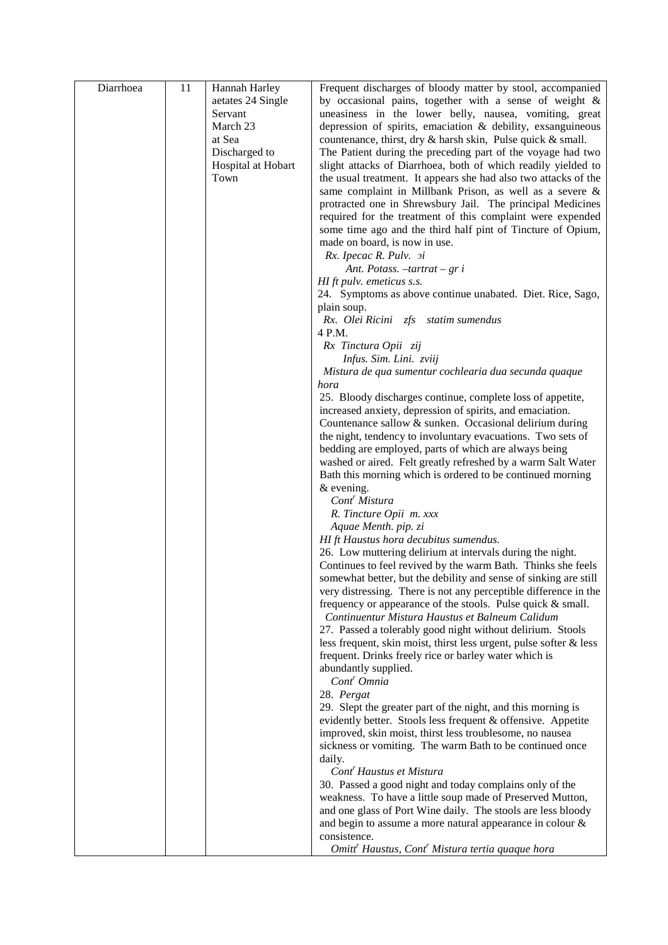| Diarrhoea | 11 | Hannah Harley      | Frequent discharges of bloody matter by stool, accompanied                                                                |
|-----------|----|--------------------|---------------------------------------------------------------------------------------------------------------------------|
|           |    | aetates 24 Single  | by occasional pains, together with a sense of weight &                                                                    |
|           |    | Servant            | uneasiness in the lower belly, nausea, vomiting, great                                                                    |
|           |    | March 23           | depression of spirits, emaciation & debility, exsanguineous                                                               |
|           |    | at Sea             | countenance, thirst, dry & harsh skin, Pulse quick & small.                                                               |
|           |    | Discharged to      | The Patient during the preceding part of the voyage had two                                                               |
|           |    | Hospital at Hobart | slight attacks of Diarrhoea, both of which readily yielded to                                                             |
|           |    | Town               | the usual treatment. It appears she had also two attacks of the                                                           |
|           |    |                    | same complaint in Millbank Prison, as well as a severe &                                                                  |
|           |    |                    | protracted one in Shrewsbury Jail. The principal Medicines                                                                |
|           |    |                    | required for the treatment of this complaint were expended<br>some time ago and the third half pint of Tincture of Opium, |
|           |    |                    | made on board, is now in use.                                                                                             |
|           |    |                    | Rx. Ipecac R. Pulv. <i>pi</i>                                                                                             |
|           |    |                    | Ant. Potass. $-tartrat - gr i$                                                                                            |
|           |    |                    | HI ft pulv. emeticus s.s.                                                                                                 |
|           |    |                    | 24. Symptoms as above continue unabated. Diet. Rice, Sago,                                                                |
|           |    |                    | plain soup.                                                                                                               |
|           |    |                    | Rx. Olei Ricini zfs statim sumendus                                                                                       |
|           |    |                    | 4 P.M.                                                                                                                    |
|           |    |                    | Rx Tinctura Opii zij                                                                                                      |
|           |    |                    | Infus. Sim. Lini. zviij<br>Mistura de qua sumentur cochlearia dua secunda quaque                                          |
|           |    |                    | hora                                                                                                                      |
|           |    |                    | 25. Bloody discharges continue, complete loss of appetite,                                                                |
|           |    |                    | increased anxiety, depression of spirits, and emaciation.                                                                 |
|           |    |                    | Countenance sallow & sunken. Occasional delirium during                                                                   |
|           |    |                    | the night, tendency to involuntary evacuations. Two sets of                                                               |
|           |    |                    | bedding are employed, parts of which are always being                                                                     |
|           |    |                    | washed or aired. Felt greatly refreshed by a warm Salt Water                                                              |
|           |    |                    | Bath this morning which is ordered to be continued morning                                                                |
|           |    |                    | $&$ evening.                                                                                                              |
|           |    |                    | Cont <sup>r</sup> Mistura                                                                                                 |
|           |    |                    | R. Tincture Opii m. xxx<br>Aquae Menth. pip. zi                                                                           |
|           |    |                    | HI ft Haustus hora decubitus sumendus.                                                                                    |
|           |    |                    | 26. Low muttering delirium at intervals during the night.                                                                 |
|           |    |                    | Continues to feel revived by the warm Bath. Thinks she feels                                                              |
|           |    |                    | somewhat better, but the debility and sense of sinking are still                                                          |
|           |    |                    | very distressing. There is not any perceptible difference in the                                                          |
|           |    |                    | frequency or appearance of the stools. Pulse quick & small.                                                               |
|           |    |                    | Continuentur Mistura Haustus et Balneum Calidum                                                                           |
|           |    |                    | 27. Passed a tolerably good night without delirium. Stools                                                                |
|           |    |                    | less frequent, skin moist, thirst less urgent, pulse softer $\&$ less                                                     |
|           |    |                    | frequent. Drinks freely rice or barley water which is<br>abundantly supplied.                                             |
|           |    |                    | Cont <sup>r</sup> Omnia                                                                                                   |
|           |    |                    | 28. Pergat                                                                                                                |
|           |    |                    | 29. Slept the greater part of the night, and this morning is                                                              |
|           |    |                    | evidently better. Stools less frequent & offensive. Appetite                                                              |
|           |    |                    | improved, skin moist, thirst less troublesome, no nausea                                                                  |
|           |    |                    | sickness or vomiting. The warm Bath to be continued once                                                                  |
|           |    |                    | daily.                                                                                                                    |
|           |    |                    | Cont <sup>r</sup> Haustus et Mistura                                                                                      |
|           |    |                    | 30. Passed a good night and today complains only of the                                                                   |
|           |    |                    | weakness. To have a little soup made of Preserved Mutton,<br>and one glass of Port Wine daily. The stools are less bloody |
|           |    |                    | and begin to assume a more natural appearance in colour &                                                                 |
|           |    |                    | consistence.                                                                                                              |
|           |    |                    | Omitt <sup>r</sup> Haustus, Cont <sup>r</sup> Mistura tertia quaque hora                                                  |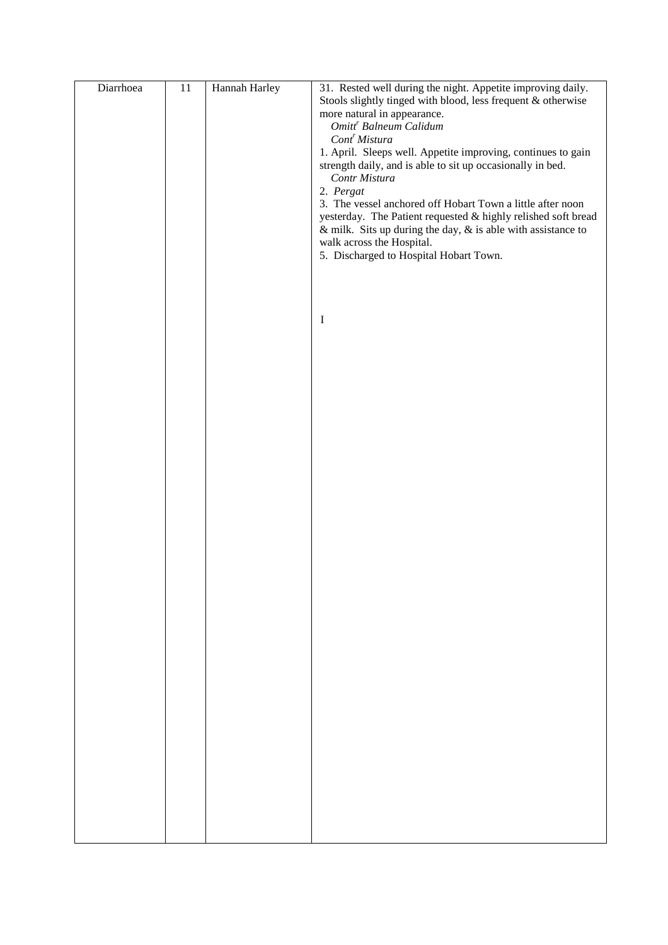| Diarrhoea | $11\,$ | Hannah Harley | 31. Rested well during the night. Appetite improving daily.         |
|-----------|--------|---------------|---------------------------------------------------------------------|
|           |        |               | Stools slightly tinged with blood, less frequent & otherwise        |
|           |        |               | more natural in appearance.                                         |
|           |        |               | Omitt <sup>r</sup> Balneum Calidum                                  |
|           |        |               | Cont <sup>r</sup> Mistura                                           |
|           |        |               | 1. April. Sleeps well. Appetite improving, continues to gain        |
|           |        |               | strength daily, and is able to sit up occasionally in bed.          |
|           |        |               | Contr Mistura                                                       |
|           |        |               | 2. Pergat                                                           |
|           |        |               | 3. The vessel anchored off Hobart Town a little after noon          |
|           |        |               | yesterday. The Patient requested & highly relished soft bread       |
|           |        |               | & milk. Sits up during the day, $\&$ is able with assistance to     |
|           |        |               | walk across the Hospital.<br>5. Discharged to Hospital Hobart Town. |
|           |        |               |                                                                     |
|           |        |               |                                                                     |
|           |        |               |                                                                     |
|           |        |               |                                                                     |
|           |        |               | $\mathbf I$                                                         |
|           |        |               |                                                                     |
|           |        |               |                                                                     |
|           |        |               |                                                                     |
|           |        |               |                                                                     |
|           |        |               |                                                                     |
|           |        |               |                                                                     |
|           |        |               |                                                                     |
|           |        |               |                                                                     |
|           |        |               |                                                                     |
|           |        |               |                                                                     |
|           |        |               |                                                                     |
|           |        |               |                                                                     |
|           |        |               |                                                                     |
|           |        |               |                                                                     |
|           |        |               |                                                                     |
|           |        |               |                                                                     |
|           |        |               |                                                                     |
|           |        |               |                                                                     |
|           |        |               |                                                                     |
|           |        |               |                                                                     |
|           |        |               |                                                                     |
|           |        |               |                                                                     |
|           |        |               |                                                                     |
|           |        |               |                                                                     |
|           |        |               |                                                                     |
|           |        |               |                                                                     |
|           |        |               |                                                                     |
|           |        |               |                                                                     |
|           |        |               |                                                                     |
|           |        |               |                                                                     |
|           |        |               |                                                                     |
|           |        |               |                                                                     |
|           |        |               |                                                                     |
|           |        |               |                                                                     |
|           |        |               |                                                                     |
|           |        |               |                                                                     |
|           |        |               |                                                                     |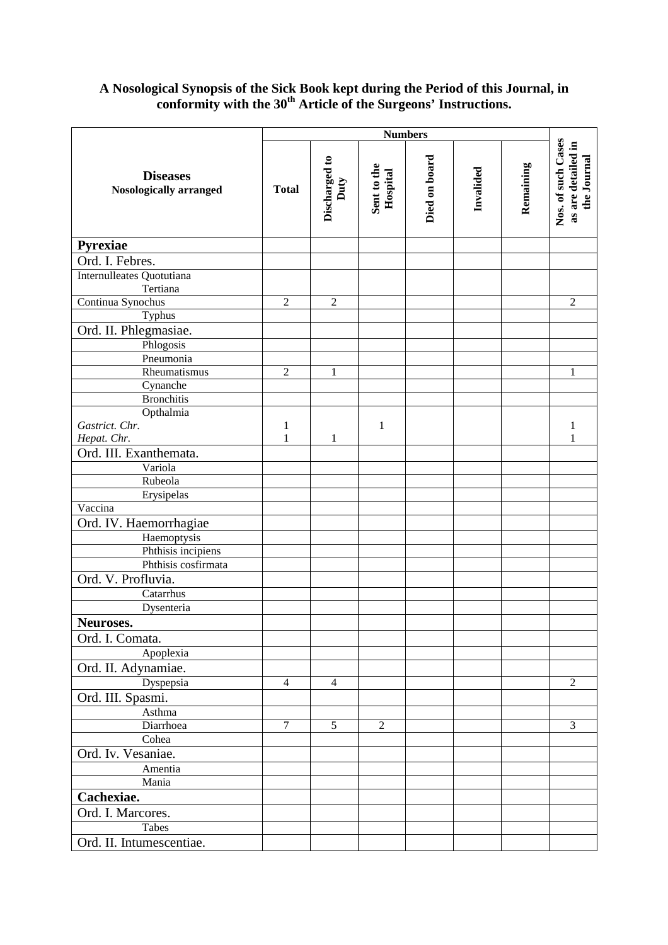### **A Nosological Synopsis of the Sick Book kept during the Period of this Journal, in conformity with the 30th Article of the Surgeons' Instructions.**

|                                                  | <b>Numbers</b> |                       |                         |               |           |           |                                                         |
|--------------------------------------------------|----------------|-----------------------|-------------------------|---------------|-----------|-----------|---------------------------------------------------------|
| <b>Diseases</b><br><b>Nosologically arranged</b> | <b>Total</b>   | Discharged to<br>Duty | Sent to the<br>Hospital | Died on board | Invalided | Remaining | Nos. of such Cases<br>as are detailed in<br>the Journal |
| Pyrexiae                                         |                |                       |                         |               |           |           |                                                         |
| Ord. I. Febres.                                  |                |                       |                         |               |           |           |                                                         |
| Internulleates Quotutiana                        |                |                       |                         |               |           |           |                                                         |
| Tertiana                                         |                |                       |                         |               |           |           |                                                         |
| Continua Synochus                                | $\overline{2}$ | $\overline{2}$        |                         |               |           |           | $\overline{2}$                                          |
| Typhus                                           |                |                       |                         |               |           |           |                                                         |
| Ord. II. Phlegmasiae.                            |                |                       |                         |               |           |           |                                                         |
| Phlogosis                                        |                |                       |                         |               |           |           |                                                         |
| Pneumonia                                        |                |                       |                         |               |           |           |                                                         |
| Rheumatismus                                     | $\overline{2}$ | 1                     |                         |               |           |           | 1                                                       |
| Cynanche                                         |                |                       |                         |               |           |           |                                                         |
| <b>Bronchitis</b>                                |                |                       |                         |               |           |           |                                                         |
| Opthalmia                                        |                |                       |                         |               |           |           |                                                         |
| Gastrict. Chr.                                   | $\mathbf 1$    |                       | $\mathbf{1}$            |               |           |           | 1                                                       |
| Hepat. Chr.                                      | $\mathbf{1}$   | $\mathbf{1}$          |                         |               |           |           | 1                                                       |
| Ord. III. Exanthemata.                           |                |                       |                         |               |           |           |                                                         |
| Variola                                          |                |                       |                         |               |           |           |                                                         |
| Rubeola                                          |                |                       |                         |               |           |           |                                                         |
| Erysipelas                                       |                |                       |                         |               |           |           |                                                         |
| Vaccina                                          |                |                       |                         |               |           |           |                                                         |
| Ord. IV. Haemorrhagiae                           |                |                       |                         |               |           |           |                                                         |
| Haemoptysis                                      |                |                       |                         |               |           |           |                                                         |
| Phthisis incipiens<br>Phthisis cosfirmata        |                |                       |                         |               |           |           |                                                         |
|                                                  |                |                       |                         |               |           |           |                                                         |
| Ord. V. Profluvia.                               |                |                       |                         |               |           |           |                                                         |
| Catarrhus                                        |                |                       |                         |               |           |           |                                                         |
| Dysenteria                                       |                |                       |                         |               |           |           |                                                         |
| Neuroses.                                        |                |                       |                         |               |           |           |                                                         |
| Ord. I. Comata.                                  |                |                       |                         |               |           |           |                                                         |
| Apoplexia                                        |                |                       |                         |               |           |           |                                                         |
| Ord. II. Adynamiae.                              |                |                       |                         |               |           |           |                                                         |
| Dyspepsia                                        | $\overline{4}$ | $\overline{4}$        |                         |               |           |           | $\sqrt{2}$                                              |
| Ord. III. Spasmi.                                |                |                       |                         |               |           |           |                                                         |
| Asthma                                           |                |                       |                         |               |           |           |                                                         |
| Diarrhoea                                        | $\overline{7}$ | 5                     | $\overline{2}$          |               |           |           | 3                                                       |
| Cohea                                            |                |                       |                         |               |           |           |                                                         |
| Ord. Iv. Vesaniae.                               |                |                       |                         |               |           |           |                                                         |
| Amentia                                          |                |                       |                         |               |           |           |                                                         |
| Mania                                            |                |                       |                         |               |           |           |                                                         |
| Cachexiae.                                       |                |                       |                         |               |           |           |                                                         |
| Ord. I. Marcores.                                |                |                       |                         |               |           |           |                                                         |
| Tabes                                            |                |                       |                         |               |           |           |                                                         |
| Ord. II. Intumescentiae.                         |                |                       |                         |               |           |           |                                                         |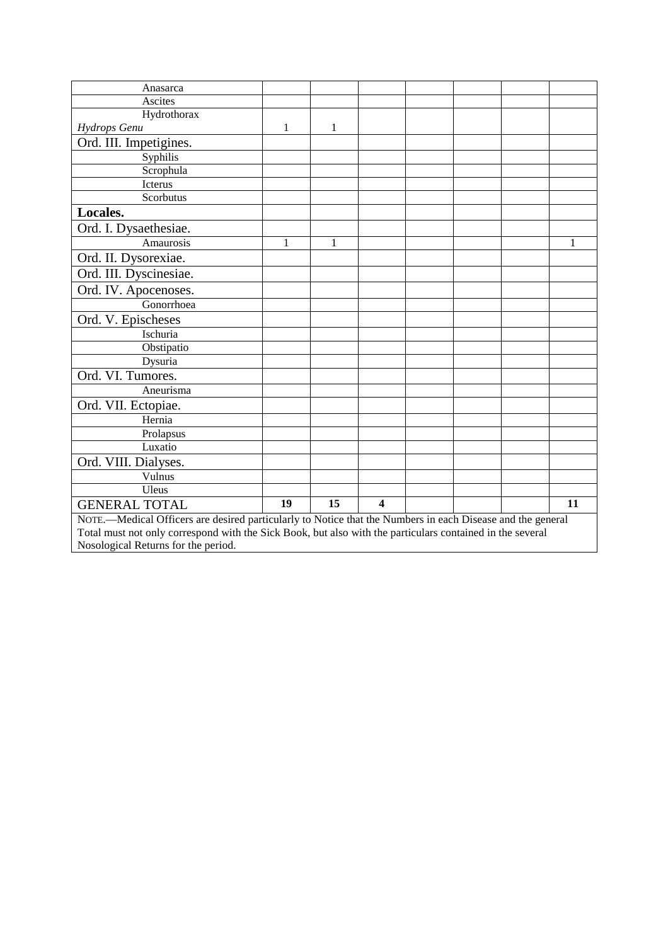| Anasarca                                                                                                   |   |   |  |  |  |  |   |
|------------------------------------------------------------------------------------------------------------|---|---|--|--|--|--|---|
| Ascites                                                                                                    |   |   |  |  |  |  |   |
| Hydrothorax                                                                                                |   |   |  |  |  |  |   |
| Hydrops Genu                                                                                               | 1 | 1 |  |  |  |  |   |
| Ord. III. Impetigines.                                                                                     |   |   |  |  |  |  |   |
| Syphilis                                                                                                   |   |   |  |  |  |  |   |
| Scrophula                                                                                                  |   |   |  |  |  |  |   |
| Icterus                                                                                                    |   |   |  |  |  |  |   |
| Scorbutus                                                                                                  |   |   |  |  |  |  |   |
| Locales.                                                                                                   |   |   |  |  |  |  |   |
| Ord. I. Dysaethesiae.                                                                                      |   |   |  |  |  |  |   |
| Amaurosis                                                                                                  | 1 | 1 |  |  |  |  | 1 |
| Ord. II. Dysorexiae.                                                                                       |   |   |  |  |  |  |   |
| Ord. III. Dyscinesiae.                                                                                     |   |   |  |  |  |  |   |
| Ord. IV. Apocenoses.                                                                                       |   |   |  |  |  |  |   |
| Gonorrhoea                                                                                                 |   |   |  |  |  |  |   |
| Ord. V. Epischeses                                                                                         |   |   |  |  |  |  |   |
| Ischuria                                                                                                   |   |   |  |  |  |  |   |
| Obstipatio                                                                                                 |   |   |  |  |  |  |   |
| Dysuria                                                                                                    |   |   |  |  |  |  |   |
| Ord. VI. Tumores.                                                                                          |   |   |  |  |  |  |   |
| Aneurisma                                                                                                  |   |   |  |  |  |  |   |
| Ord. VII. Ectopiae.                                                                                        |   |   |  |  |  |  |   |
| Hernia                                                                                                     |   |   |  |  |  |  |   |
| Prolapsus                                                                                                  |   |   |  |  |  |  |   |
| Luxatio                                                                                                    |   |   |  |  |  |  |   |
| Ord. VIII. Dialyses.                                                                                       |   |   |  |  |  |  |   |
| Vulnus                                                                                                     |   |   |  |  |  |  |   |
| Uleus                                                                                                      |   |   |  |  |  |  |   |
| 15<br>$\overline{\mathbf{4}}$<br>19<br>11<br><b>GENERAL TOTAL</b>                                          |   |   |  |  |  |  |   |
| NOTE.—Medical Officers are desired particularly to Notice that the Numbers in each Disease and the general |   |   |  |  |  |  |   |
| Total must not only correspond with the Sick Book, but also with the particulars contained in the several  |   |   |  |  |  |  |   |
| Nosological Returns for the period.                                                                        |   |   |  |  |  |  |   |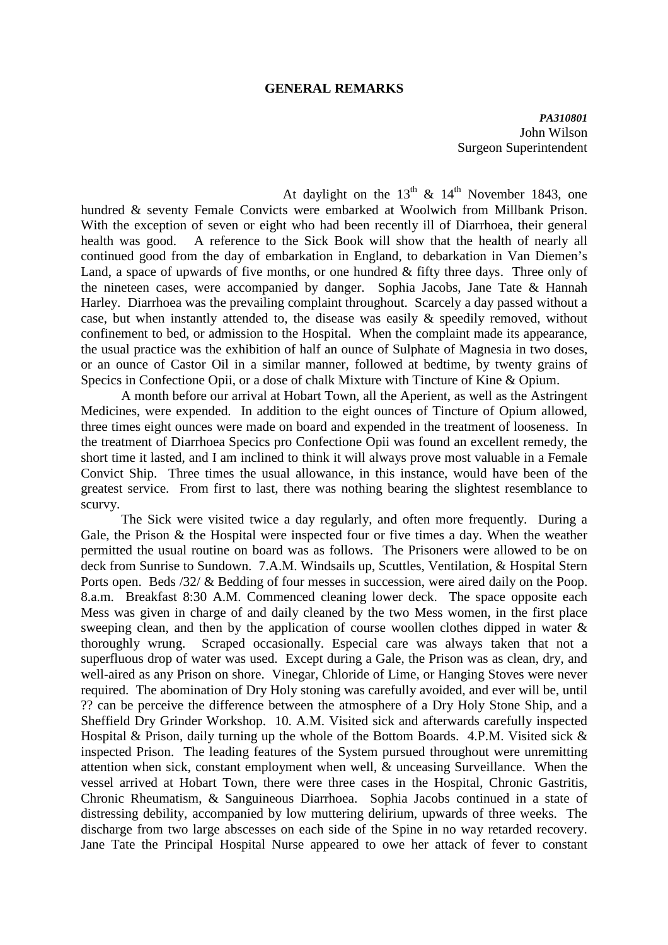#### **GENERAL REMARKS**

*PA310801*  John Wilson Surgeon Superintendent

At daylight on the  $13<sup>th</sup>$  &  $14<sup>th</sup>$  November 1843, one hundred & seventy Female Convicts were embarked at Woolwich from Millbank Prison. With the exception of seven or eight who had been recently ill of Diarrhoea, their general health was good. A reference to the Sick Book will show that the health of nearly all continued good from the day of embarkation in England, to debarkation in Van Diemen's Land, a space of upwards of five months, or one hundred  $&$  fifty three days. Three only of the nineteen cases, were accompanied by danger. Sophia Jacobs, Jane Tate & Hannah Harley. Diarrhoea was the prevailing complaint throughout. Scarcely a day passed without a case, but when instantly attended to, the disease was easily  $\&$  speedily removed, without confinement to bed, or admission to the Hospital. When the complaint made its appearance, the usual practice was the exhibition of half an ounce of Sulphate of Magnesia in two doses, or an ounce of Castor Oil in a similar manner, followed at bedtime, by twenty grains of Specics in Confectione Opii, or a dose of chalk Mixture with Tincture of Kine & Opium.

 A month before our arrival at Hobart Town, all the Aperient, as well as the Astringent Medicines, were expended. In addition to the eight ounces of Tincture of Opium allowed, three times eight ounces were made on board and expended in the treatment of looseness. In the treatment of Diarrhoea Specics pro Confectione Opii was found an excellent remedy, the short time it lasted, and I am inclined to think it will always prove most valuable in a Female Convict Ship. Three times the usual allowance, in this instance, would have been of the greatest service. From first to last, there was nothing bearing the slightest resemblance to scurvy.

 The Sick were visited twice a day regularly, and often more frequently. During a Gale, the Prison & the Hospital were inspected four or five times a day. When the weather permitted the usual routine on board was as follows. The Prisoners were allowed to be on deck from Sunrise to Sundown. 7.A.M. Windsails up, Scuttles, Ventilation, & Hospital Stern Ports open. Beds /32/ & Bedding of four messes in succession, were aired daily on the Poop. 8.a.m. Breakfast 8:30 A.M. Commenced cleaning lower deck. The space opposite each Mess was given in charge of and daily cleaned by the two Mess women, in the first place sweeping clean, and then by the application of course woollen clothes dipped in water & thoroughly wrung. Scraped occasionally. Especial care was always taken that not a superfluous drop of water was used. Except during a Gale, the Prison was as clean, dry, and well-aired as any Prison on shore. Vinegar, Chloride of Lime, or Hanging Stoves were never required. The abomination of Dry Holy stoning was carefully avoided, and ever will be, until ?? can be perceive the difference between the atmosphere of a Dry Holy Stone Ship, and a Sheffield Dry Grinder Workshop. 10. A.M. Visited sick and afterwards carefully inspected Hospital & Prison, daily turning up the whole of the Bottom Boards. 4.P.M. Visited sick & inspected Prison. The leading features of the System pursued throughout were unremitting attention when sick, constant employment when well, & unceasing Surveillance. When the vessel arrived at Hobart Town, there were three cases in the Hospital, Chronic Gastritis, Chronic Rheumatism, & Sanguineous Diarrhoea. Sophia Jacobs continued in a state of distressing debility, accompanied by low muttering delirium, upwards of three weeks. The discharge from two large abscesses on each side of the Spine in no way retarded recovery. Jane Tate the Principal Hospital Nurse appeared to owe her attack of fever to constant